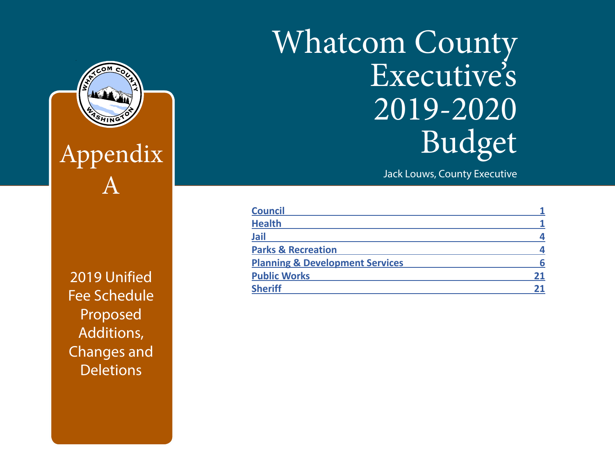# Whatcom County Executive's 2019-2020 Budget

Jack Louws, County Executive

| <b>Council</b>                             |    |
|--------------------------------------------|----|
| <b>Health</b>                              |    |
| <b>Jail</b>                                |    |
| <b>Parks &amp; Recreation</b>              |    |
| <b>Planning &amp; Development Services</b> |    |
| <b>Public Works</b>                        | 21 |
| <b>Sheriff</b>                             |    |

**The Published Separed And Published and Public Prepared and Public Prepared and Public Prepared and Public Pre** County Administrative Services Department Fee Schedule Proposed Additions, Changes and **Deletions** 

Appendix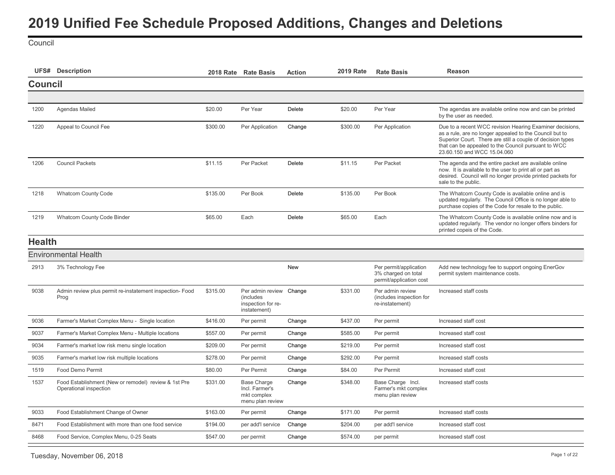<span id="page-1-0"></span>**Council** 

|                | <b>UFS#</b> Description                                                        |          | 2018 Rate Rate Basis                                                       | <b>Action</b> | <b>2019 Rate</b> | <b>Rate Basis</b>                                                        | <b>Reason</b>                                                                                                                                                                                                                                                           |
|----------------|--------------------------------------------------------------------------------|----------|----------------------------------------------------------------------------|---------------|------------------|--------------------------------------------------------------------------|-------------------------------------------------------------------------------------------------------------------------------------------------------------------------------------------------------------------------------------------------------------------------|
| <b>Council</b> |                                                                                |          |                                                                            |               |                  |                                                                          |                                                                                                                                                                                                                                                                         |
|                |                                                                                |          |                                                                            |               |                  |                                                                          |                                                                                                                                                                                                                                                                         |
| 1200           | Agendas Mailed                                                                 | \$20.00  | Per Year                                                                   | Delete        | \$20.00          | Per Year                                                                 | The agendas are available online now and can be printed<br>by the user as needed.                                                                                                                                                                                       |
| 1220           | Appeal to Council Fee                                                          | \$300.00 | Per Application                                                            | Change        | \$300.00         | Per Application                                                          | Due to a recent WCC revision Hearing Examiner decisions,<br>as a rule, are no longer appealed to the Council but to<br>Superior Court. There are still a couple of decision types<br>that can be appealed to the Council pursuant to WCC<br>23.60.150 and WCC 15.04.060 |
| 1206           | <b>Council Packets</b>                                                         | \$11.15  | Per Packet                                                                 | <b>Delete</b> | \$11.15          | Per Packet                                                               | The agenda and the entire packet are available online<br>now. It is available to the user to print all or part as<br>desired. Council will no longer provide printed packets for<br>sale to the public.                                                                 |
| 1218           | <b>Whatcom County Code</b>                                                     | \$135.00 | Per Book                                                                   | <b>Delete</b> | \$135.00         | Per Book                                                                 | The Whatcom County Code is available online and is<br>updated regularly. The Council Office is no longer able to<br>purchase copies of the Code for resale to the public.                                                                                               |
| 1219           | <b>Whatcom County Code Binder</b>                                              | \$65.00  | Each                                                                       | Delete        | \$65.00          | Each                                                                     | The Whatcom County Code is available online now and is<br>updated regularly. The vendor no longer offers binders for<br>printed copeis of the Code.                                                                                                                     |
| <b>Health</b>  |                                                                                |          |                                                                            |               |                  |                                                                          |                                                                                                                                                                                                                                                                         |
|                | <b>Environmental Health</b>                                                    |          |                                                                            |               |                  |                                                                          |                                                                                                                                                                                                                                                                         |
| 2913           | 3% Technology Fee                                                              |          |                                                                            | <b>New</b>    |                  | Per permit/application<br>3% charged on total<br>permit/application cost | Add new technology fee to support ongoing EnerGov<br>permit system maintenance costs.                                                                                                                                                                                   |
| 9038           | Admin review plus permit re-instatement inspection- Food<br>Prog               | \$315.00 | Per admin review Change<br>(includes<br>inspection for re-<br>instatement) |               | \$331.00         | Per admin review<br>(includes inspection for<br>re-instatement)          | Increased staff costs                                                                                                                                                                                                                                                   |
| 9036           | Farmer's Market Complex Menu - Single location                                 | \$416.00 | Per permit                                                                 | Change        | \$437.00         | Per permit                                                               | Increased staff cost                                                                                                                                                                                                                                                    |
| 9037           | Farmer's Market Complex Menu - Multiple locations                              | \$557.00 | Per permit                                                                 | Change        | \$585.00         | Per permit                                                               | Increased staff cost                                                                                                                                                                                                                                                    |
| 9034           | Farmer's market low risk menu single location                                  | \$209.00 | Per permit                                                                 | Change        | \$219.00         | Per permit                                                               | Increased staff cost                                                                                                                                                                                                                                                    |
| 9035           | Farmer's market low risk multiple locations                                    | \$278.00 | Per permit                                                                 | Change        | \$292.00         | Per permit                                                               | Increased staff costs                                                                                                                                                                                                                                                   |
| 1519           | Food Demo Permit                                                               | \$80.00  | Per Permit                                                                 | Change        | \$84.00          | Per Permit                                                               | Increased staff cost                                                                                                                                                                                                                                                    |
| 1537           | Food Establishment (New or remodel) review & 1st Pre<br>Operational inspection | \$331.00 | <b>Base Charge</b><br>Incl. Farmer's<br>mkt complex<br>menu plan review    | Change        | \$348.00         | Base Charge Incl.<br>Farmer's mkt complex<br>menu plan review            | Increased staff costs                                                                                                                                                                                                                                                   |
| 9033           | Food Establishment Change of Owner                                             | \$163.00 | Per permit                                                                 | Change        | \$171.00         | Per permit                                                               | Increased staff costs                                                                                                                                                                                                                                                   |
| 8471           | Food Establishment with more than one food service                             | \$194.00 | per add'l service                                                          | Change        | \$204.00         | per add'l service                                                        | Increased staff cost                                                                                                                                                                                                                                                    |
| 8468           | Food Service, Complex Menu, 0-25 Seats                                         | \$547.00 | per permit                                                                 | Change        | \$574.00         | per permit                                                               | Increased staff cost                                                                                                                                                                                                                                                    |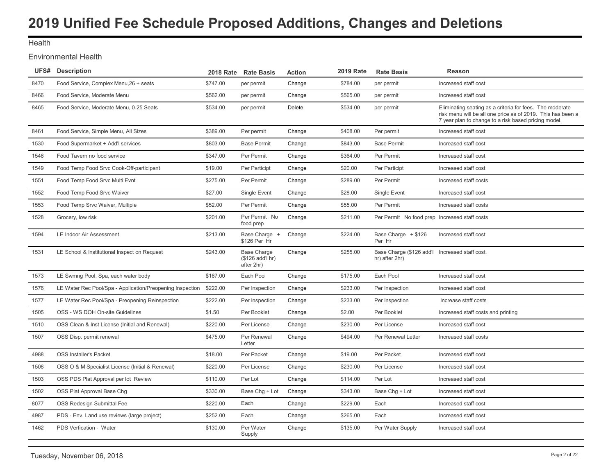### **Health**

### Environmental Health

| <b>UFS#</b> Description                          |          |                                                                    | <b>Action</b>        | <b>2019 Rate</b> | <b>Rate Basis</b>                                                | <b>Reason</b>                                                                                                                                                                   |
|--------------------------------------------------|----------|--------------------------------------------------------------------|----------------------|------------------|------------------------------------------------------------------|---------------------------------------------------------------------------------------------------------------------------------------------------------------------------------|
| Food Service, Complex Menu, 26 + seats           | \$747.00 | per permit                                                         | Change               | \$784.00         | per permit                                                       | Increased staff cost                                                                                                                                                            |
| Food Service, Moderate Menu                      | \$562.00 | per permit                                                         | Change               | \$565.00         | per permit                                                       | Increased staff cost                                                                                                                                                            |
| Food Service, Moderate Menu, 0-25 Seats          | \$534.00 | per permit                                                         | Delete               | \$534.00         | per permit                                                       | Eliminating seating as a criteria for fees. The moderate<br>risk menu will be all one price as of 2019. This has been a<br>7 year plan to change to a risk based pricing model. |
| Food Service, Simple Menu, All Sizes             | \$389.00 | Per permit                                                         | Change               | \$408.00         | Per permit                                                       | Increased staff cost                                                                                                                                                            |
| Food Supermarket + Add'l services                | \$803.00 | <b>Base Permit</b>                                                 | Change               | \$843.00         | <b>Base Permit</b>                                               | Increased staff cost                                                                                                                                                            |
| Food Tavern no food service                      | \$347.00 | Per Permit                                                         | Change               | \$364.00         | Per Permit                                                       | Increased staff cost                                                                                                                                                            |
| Food Temp Food Srvc Cook-Off-participant         | \$19.00  | Per Participt                                                      | Change               | \$20.00          | Per Participt                                                    | Increased staff cost                                                                                                                                                            |
| Food Temp Food Srvc Multi Evnt                   | \$275.00 | Per Permit                                                         | Change               | \$289.00         | Per Permit                                                       | Increased staff costs                                                                                                                                                           |
| Food Temp Food Srvc Waiver                       | \$27.00  | Single Event                                                       | Change               | \$28.00          | Single Event                                                     | Increased staff cost                                                                                                                                                            |
| Food Temp Srvc Waiver, Multiple                  | \$52.00  | Per Permit                                                         | Change               | \$55.00          | Per Permit                                                       | Increased staff costs                                                                                                                                                           |
| Grocery, low risk                                | \$201.00 | Per Permit No<br>food prep                                         | Change               | \$211.00         | Per Permit No food prep Increased staff costs                    |                                                                                                                                                                                 |
| LE Indoor Air Assessment                         | \$213.00 | Base Charge +<br>\$126 Per Hr                                      | Change               | \$224.00         | Base Charge + \$126<br>Per Hr                                    | Increased staff cost                                                                                                                                                            |
| LE School & Institutional Inspect on Request     | \$243.00 | <b>Base Charge</b><br>(\$126 add'l hr)<br>after 2hr)               | Change               | \$255.00         | Base Charge (\$126 add'l Increased staff cost.<br>hr) after 2hr) |                                                                                                                                                                                 |
| LE Swmng Pool, Spa, each water body              | \$167.00 | Each Pool                                                          | Change               | \$175.00         | Each Pool                                                        | Increased staff cost                                                                                                                                                            |
|                                                  |          | Per Inspection                                                     | Change               | \$233.00         | Per Inspection                                                   | Increased staff cost                                                                                                                                                            |
| LE Water Rec Pool/Spa - Preopening Reinspection  | \$222.00 | Per Inspection                                                     | Change               | \$233.00         | Per Inspection                                                   | Increase staff costs                                                                                                                                                            |
| OSS - WS DOH On-site Guidelines                  | \$1.50   | Per Booklet                                                        | Change               | \$2.00           | Per Booklet                                                      | Increased staff costs and printing                                                                                                                                              |
| OSS Clean & Inst License (Initial and Renewal)   | \$220.00 | Per License                                                        | Change               | \$230.00         | Per License                                                      | Increased staff cost                                                                                                                                                            |
| OSS Disp. permit renewal                         | \$475.00 | Per Renewal<br>Letter                                              | Change               | \$494.00         | Per Renewal Letter                                               | Increased staff costs                                                                                                                                                           |
| <b>OSS Installer's Packet</b>                    | \$18.00  | Per Packet                                                         | Change               | \$19.00          | Per Packet                                                       | Increased staff cost                                                                                                                                                            |
| OSS O & M Specialist License (Initial & Renewal) | \$220.00 | Per License                                                        | Change               | \$230.00         | Per License                                                      | Increased staff cost                                                                                                                                                            |
| OSS PDS Plat Approval per lot Review             | \$110.00 | Per Lot                                                            | Change               | \$114.00         | Per Lot                                                          | Increased staff cost                                                                                                                                                            |
| OSS Plat Approval Base Chg                       | \$330.00 | Base Chg + Lot                                                     | Change               | \$343.00         | Base Chg + Lot                                                   | Increased staff cost                                                                                                                                                            |
| OSS Redesign Submittal Fee                       | \$220.00 | Each                                                               | Change               | \$229.00         | Each                                                             | Increased staff cost                                                                                                                                                            |
| PDS - Env. Land use reviews (large project)      | \$252.00 | Each                                                               | Change               | \$265.00         | Each                                                             | Increased staff cost                                                                                                                                                            |
| PDS Verfication - Water                          | \$130.00 | Per Water<br>Supply                                                | Change               | \$135.00         | Per Water Supply                                                 | Increased staff cost                                                                                                                                                            |
|                                                  |          | LE Water Rec Pool/Spa - Application/Preopening Inspection \$222.00 | 2018 Rate Rate Basis |                  |                                                                  |                                                                                                                                                                                 |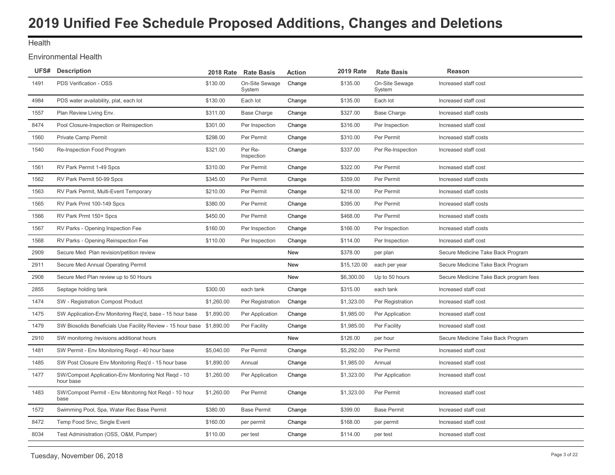### **Health**

### Environmental Health

|      | UFS# Description                                                       | <b>2018 Rate</b> | <b>Rate Basis</b>        | <b>Action</b> | <b>2019 Rate</b> | <b>Rate Basis</b>        | Reason                                 |
|------|------------------------------------------------------------------------|------------------|--------------------------|---------------|------------------|--------------------------|----------------------------------------|
| 1491 | PDS Verification - OSS                                                 | \$130.00         | On-Site Sewage<br>System | Change        | \$135.00         | On-Site Sewage<br>System | Increased staff cost                   |
| 4984 | PDS water availability, plat, each lot                                 | \$130.00         | Each lot                 | Change        | \$135.00         | Each lot                 | Increased staff cost                   |
| 1557 | Plan Review Living Env.                                                | \$311.00         | <b>Base Charge</b>       | Change        | \$327.00         | <b>Base Charge</b>       | Increased staff costs                  |
| 8474 | Pool Closure-Inspection or Reinspection                                | \$301.00         | Per Inspection           | Change        | \$316.00         | Per Inspection           | Increased staff cost                   |
| 1560 | Private Camp Permit                                                    | \$298.00         | Per Permit               | Change        | \$310.00         | Per Permit               | Increased staff costs                  |
| 1540 | Re-Inspection Food Program                                             | \$321.00         | Per Re-<br>Inspection    | Change        | \$337.00         | Per Re-Inspection        | Increased staff cost                   |
| 1561 | RV Park Permit 1-49 Spcs                                               | \$310.00         | Per Permit               | Change        | \$322.00         | Per Permit               | Increased staff cost                   |
| 1562 | RV Park Permit 50-99 Spcs                                              | \$345.00         | Per Permit               | Change        | \$359.00         | Per Permit               | Increased staff costs                  |
| 1563 | RV Park Permit, Multi-Event Temporary                                  | \$210.00         | Per Permit               | Change        | \$218.00         | Per Permit               | Increased staff costs                  |
| 1565 | RV Park Prmt 100-149 Spcs                                              | \$380.00         | Per Permit               | Change        | \$395.00         | Per Permit               | Increased staff costs                  |
| 1566 | RV Park Prmt 150+ Spcs                                                 | \$450.00         | Per Permit               | Change        | \$468.00         | Per Permit               | Increased staff costs                  |
| 1567 | RV Parks - Opening Inspection Fee                                      | \$160.00         | Per Inspection           | Change        | \$166.00         | Per Inspection           | Increased staff costs                  |
| 1568 | RV Parks - Opening Reinspection Fee                                    | \$110.00         | Per Inspection           | Change        | \$114.00         | Per Inspection           | Increased staff cost                   |
| 2909 | Secure Med Plan revision/petition review                               |                  |                          | <b>New</b>    | \$378.00         | per plan                 | Secure Medicine Take Back Program      |
| 2911 | Secure Med Annual Operating Permit                                     |                  |                          | New           | \$15,120.00      | each per year            | Secure Medicine Take Back Program      |
| 2908 | Secure Med Plan review up to 50 Hours                                  |                  |                          | New           | \$6,300.00       | Up to 50 hours           | Secure Medicine Take Back program fees |
| 2855 | Septage holding tank                                                   | \$300.00         | each tank                | Change        | \$315.00         | each tank                | Increased staff cost                   |
| 1474 | SW - Registration Compost Product                                      | \$1,260.00       | Per Registration         | Change        | \$1,323.00       | Per Registration         | Increased staff cost                   |
| 1475 | SW Application-Env Monitoring Reg'd, base - 15 hour base               | \$1,890.00       | Per Application          | Change        | \$1.985.00       | Per Application          | Increased staff cost                   |
| 1479 | SW Biosolids Beneficials Use Facility Review - 15 hour base \$1,890.00 |                  | Per Facility             | Change        | \$1,985.00       | Per Facility             | Increased staff cost                   |
| 2910 | SW monitoring /revisions additional hours                              |                  |                          | New           | \$126.00         | per hour                 | Secure Medicine Take Back Program      |
| 1481 | SW Permit - Env Monitoring Regd - 40 hour base                         | \$5,040.00       | Per Permit               | Change        | \$5,292.00       | Per Permit               | Increased staff cost                   |
| 1485 | SW Post Closure Env Monitoring Reg'd - 15 hour base                    | \$1,890.00       | Annual                   | Change        | \$1,985.00       | Annual                   | Increased staff cost                   |
| 1477 | SW/Compost Application-Env Monitoring Not Regd - 10<br>hour base       | \$1,260.00       | Per Application          | Change        | \$1,323.00       | Per Application          | Increased staff cost                   |
| 1483 | SW/Compost Permit - Env Monitoring Not Regd - 10 hour<br>base          | \$1,260.00       | Per Permit               | Change        | \$1,323.00       | Per Permit               | Increased staff cost                   |
| 1572 | Swimming Pool, Spa, Water Rec Base Permit                              | \$380.00         | <b>Base Permit</b>       | Change        | \$399.00         | <b>Base Permit</b>       | Increased staff cost                   |
| 8472 | Temp Food Srvc, Single Event                                           | \$160.00         | per permit               | Change        | \$168.00         | per permit               | Increased staff cost                   |
| 8034 | Test Administration (OSS, O&M, Pumper)                                 | \$110.00         | per test                 | Change        | \$114.00         | per test                 | Increased staff cost                   |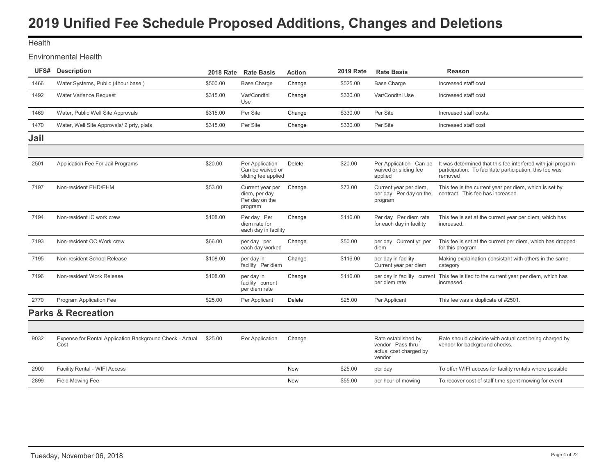<span id="page-4-0"></span>**Health** 

### Environmental Health

| UFS# | <b>Description</b>                        | <b>2018 Rate</b> | <b>Rate Basis</b>                                              | <b>Action</b> | <b>2019 Rate</b> | <b>Rate Basis</b>                                           | Reason                                                                                                                              |
|------|-------------------------------------------|------------------|----------------------------------------------------------------|---------------|------------------|-------------------------------------------------------------|-------------------------------------------------------------------------------------------------------------------------------------|
| 1466 | Water Systems, Public (4hour base)        | \$500.00         | <b>Base Charge</b>                                             | Change        | \$525.00         | <b>Base Charge</b>                                          | Increased staff cost                                                                                                                |
| 1492 | Water Variance Request                    | \$315.00         | Var/Condtnl<br>Use                                             | Change        | \$330.00         | Var/Condtnl Use                                             | Increased staff cost                                                                                                                |
| 1469 | Water, Public Well Site Approvals         | \$315.00         | Per Site                                                       | Change        | \$330.00         | Per Site                                                    | Increased staff costs.                                                                                                              |
| 1470 | Water, Well Site Approvals/ 2 prty, plats | \$315.00         | Per Site                                                       | Change        | \$330.00         | Per Site                                                    | Increased staff cost                                                                                                                |
| Jail |                                           |                  |                                                                |               |                  |                                                             |                                                                                                                                     |
|      |                                           |                  |                                                                |               |                  |                                                             |                                                                                                                                     |
| 2501 | Application Fee For Jail Programs         | \$20.00          | Per Application<br>Can be waived or<br>sliding fee applied     | Delete        | \$20.00          | Per Application Can be<br>waived or sliding fee<br>applied  | It was determined that this fee interfered with jail program<br>participation. To facilitate participation, this fee was<br>removed |
| 7197 | Non-resident EHD/EHM                      | \$53.00          | Current year per<br>diem, per day<br>Per day on the<br>program | Change        | \$73.00          | Current year per diem,<br>per day Per day on the<br>program | This fee is the current year per diem, which is set by<br>contract. This fee has increased.                                         |
| 7194 | Non-resident IC work crew                 | \$108.00         | Per day Per<br>diem rate for<br>each day in facility           | Change        | \$116.00         | Per day Per diem rate<br>for each day in facility           | This fee is set at the current year per diem, which has<br>increased.                                                               |
| 7193 | Non-resident OC Work crew                 | \$66.00          | per day per<br>each day worked                                 | Change        | \$50.00          | per day Current yr. per<br>diem                             | This fee is set at the current per diem, which has dropped<br>for this program                                                      |
| 7195 | Non-resident School Release               | \$108.00         | per day in<br>facility Per diem                                | Change        | \$116.00         | per day in facility<br>Current year per diem                | Making explaination consistant with others in the same<br>category                                                                  |
| 7196 | Non-resident Work Release                 | \$108.00         | per day in<br>facility current<br>per diem rate                | Change        | \$116.00         | per diem rate                                               | per day in facility current This fee is tied to the current year per diem, which has<br>increased.                                  |
| 2770 | Program Application Fee                   | \$25.00          | Per Applicant                                                  | Delete        | \$25.00          | Per Applicant                                               | This fee was a duplicate of #2501.                                                                                                  |
|      | <b>Parks &amp; Recreation</b>             |                  |                                                                |               |                  |                                                             |                                                                                                                                     |
|      |                                           |                  |                                                                |               |                  |                                                             |                                                                                                                                     |

| 9032 | Expense for Rental Application Background Check - Actual<br>Cost | \$25.00 | Per Application | Change     |         | Rate established by<br>vendor Pass thru -<br>actual cost charged by<br>vendor | Rate should coincide with actual cost being charged by<br>vendor for background checks. |
|------|------------------------------------------------------------------|---------|-----------------|------------|---------|-------------------------------------------------------------------------------|-----------------------------------------------------------------------------------------|
| 2900 | Facility Rental - WIFI Access                                    |         |                 | <b>New</b> | \$25.00 | per day                                                                       | To offer WIFI access for facility rentals where possible                                |
| 2899 | Field Mowing Fee                                                 |         |                 | <b>New</b> | \$55.00 | per hour of mowing                                                            | To recover cost of staff time spent mowing for event                                    |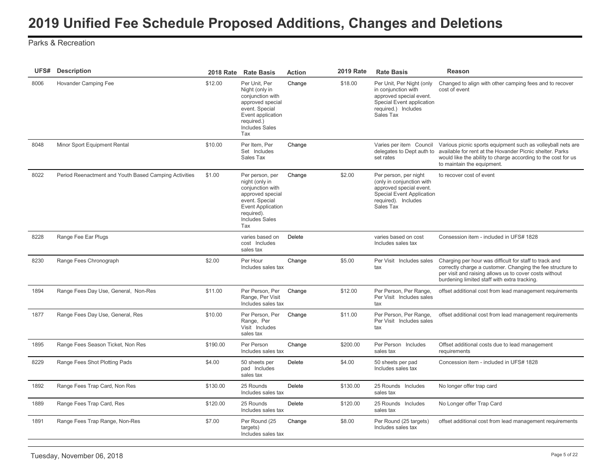### Parks & Recreation

| UFS# | <b>Description</b>                                    |          | 2018 Rate Rate Basis                                                                                                                                                  | <b>Action</b> | <b>2019 Rate</b> | <b>Rate Basis</b>                                                                                                                                     | Reason                                                                                                                                                                                                                                         |
|------|-------------------------------------------------------|----------|-----------------------------------------------------------------------------------------------------------------------------------------------------------------------|---------------|------------------|-------------------------------------------------------------------------------------------------------------------------------------------------------|------------------------------------------------------------------------------------------------------------------------------------------------------------------------------------------------------------------------------------------------|
| 8006 | Hovander Camping Fee                                  | \$12.00  | Per Unit, Per<br>Night (only in<br>conjunction with<br>approved special<br>event. Special<br>Event application<br>required.)<br><b>Includes Sales</b><br>Tax          | Change        | \$18.00          | Per Unit, Per Night (only<br>in conjunction with<br>approved special event.<br>Special Event application<br>required.) Includes<br>Sales Tax          | Changed to align with other camping fees and to recover<br>cost of event                                                                                                                                                                       |
| 8048 | Minor Sport Equipment Rental                          | \$10.00  | Per Item, Per<br>Set Includes<br>Sales Tax                                                                                                                            | Change        |                  | delegates to Dept auth to<br>set rates                                                                                                                | Varies per item Council Various picnic sports equipment such as volleyball nets are<br>available for rent at the Hovander Picnic shelter. Parks<br>would like the ability to charge according to the cost for us<br>to maintain the equipment. |
| 8022 | Period Reenactment and Youth Based Camping Activities | \$1.00   | Per person, per<br>night (only in<br>conjunction with<br>approved special<br>event. Special<br><b>Event Application</b><br>required).<br><b>Includes Sales</b><br>Tax | Change        | \$2.00           | Per person, per night<br>(only in conjunction with<br>approved special event.<br><b>Special Event Application</b><br>required). Includes<br>Sales Tax | to recover cost of event                                                                                                                                                                                                                       |
| 8228 | Range Fee Ear Plugs                                   |          | varies based on<br>cost Includes<br>sales tax                                                                                                                         | Delete        |                  | varies based on cost<br>Includes sales tax                                                                                                            | Consession item - included in UFS# 1828                                                                                                                                                                                                        |
| 8230 | Range Fees Chronograph                                | \$2.00   | Per Hour<br>Includes sales tax                                                                                                                                        | Change        | \$5.00           | Per Visit Includes sales<br>tax                                                                                                                       | Charging per hour was difficult for staff to track and<br>correctly charge a customer. Changing the fee structure to<br>per visit and raising allows us to cover costs without<br>burdening limited staff with extra tracking.                 |
| 1894 | Range Fees Day Use, General, Non-Res                  | \$11.00  | Per Person, Per<br>Range, Per Visit<br>Includes sales tax                                                                                                             | Change        | \$12.00          | Per Person, Per Range,<br>Per Visit Includes sales<br>tax                                                                                             | offset additional cost from lead management requirements                                                                                                                                                                                       |
| 1877 | Range Fees Day Use, General, Res                      | \$10.00  | Per Person, Per<br>Range, Per<br>Visit Includes<br>sales tax                                                                                                          | Change        | \$11.00          | Per Person, Per Range,<br>Per Visit Includes sales<br>tax                                                                                             | offset additional cost from lead management requirements                                                                                                                                                                                       |
| 1895 | Range Fees Season Ticket, Non Res                     | \$190.00 | Per Person<br>Includes sales tax                                                                                                                                      | Change        | \$200.00         | Per Person Includes<br>sales tax                                                                                                                      | Offset additional costs due to lead management<br>requirements                                                                                                                                                                                 |
| 8229 | Range Fees Shot Plotting Pads                         | \$4.00   | 50 sheets per<br>pad Includes<br>sales tax                                                                                                                            | Delete        | \$4.00           | 50 sheets per pad<br>Includes sales tax                                                                                                               | Concession item - included in UFS# 1828                                                                                                                                                                                                        |
| 1892 | Range Fees Trap Card, Non Res                         | \$130.00 | 25 Rounds<br>Includes sales tax                                                                                                                                       | Delete        | \$130.00         | 25 Rounds Includes<br>sales tax                                                                                                                       | No longer offer trap card                                                                                                                                                                                                                      |
| 1889 | Range Fees Trap Card, Res                             | \$120.00 | 25 Rounds<br>Includes sales tax                                                                                                                                       | Delete        | \$120.00         | 25 Rounds Includes<br>sales tax                                                                                                                       | No Longer offer Trap Card                                                                                                                                                                                                                      |
| 1891 | Range Fees Trap Range, Non-Res                        | \$7.00   | Per Round (25<br>targets)<br>Includes sales tax                                                                                                                       | Change        | \$8.00           | Per Round (25 targets)<br>Includes sales tax                                                                                                          | offset additional cost from lead management requirements                                                                                                                                                                                       |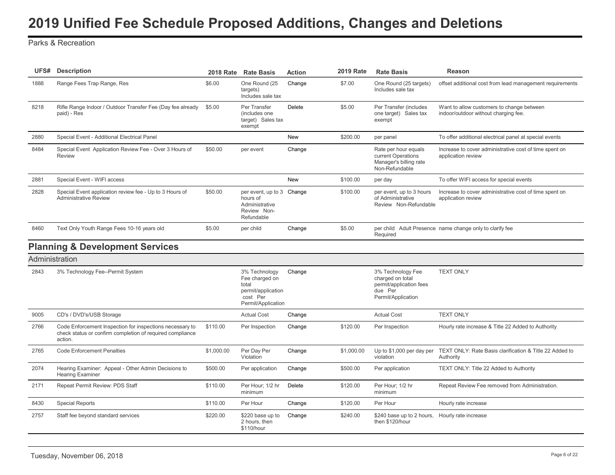<span id="page-6-0"></span>Parks & Recreation

| UFS#           | <b>Description</b>                                                                                                               |            | 2018 Rate Rate Basis                                                                             | <b>Action</b> | <b>2019 Rate</b> | <b>Rate Basis</b>                                                                                 | Reason                                                                            |
|----------------|----------------------------------------------------------------------------------------------------------------------------------|------------|--------------------------------------------------------------------------------------------------|---------------|------------------|---------------------------------------------------------------------------------------------------|-----------------------------------------------------------------------------------|
| 1888           | Range Fees Trap Range, Res                                                                                                       | \$6.00     | One Round (25<br>targets)<br>Includes sale tax                                                   | Change        | \$7.00           | One Round (25 targets)<br>Includes sale tax                                                       | offset additional cost from lead management requirements                          |
| 8218           | Rifle Range Indoor / Outdoor Transfer Fee (Day fee already<br>paid) - Res                                                        | \$5.00     | Per Transfer<br>(includes one<br>target) Sales tax<br>exempt                                     | <b>Delete</b> | \$5.00           | Per Transfer (includes<br>one target) Sales tax<br>exempt                                         | Want to allow customers to change between<br>indoor/outdoor without charging fee. |
| 2880           | Special Event - Additional Electrical Panel                                                                                      |            |                                                                                                  | <b>New</b>    | \$200.00         | per panel                                                                                         | To offer additional electrical panel at special events                            |
| 8484           | Special Event Application Review Fee - Over 3 Hours of<br><b>Review</b>                                                          | \$50.00    | per event                                                                                        | Change        |                  | Rate per hour equals<br>current Operations<br>Manager's billing rate<br>Non-Refundable            | Increase to cover administrative cost of time spent on<br>application review      |
| 2881           | Special Event - WIFI access                                                                                                      |            |                                                                                                  | <b>New</b>    | \$100.00         | per day                                                                                           | To offer WIFI access for special events                                           |
| 2828           | Special Event application review fee - Up to 3 Hours of<br><b>Administrative Review</b>                                          | \$50.00    | per event, up to 3 Change<br>hours of<br>Administrative<br>Review Non-<br>Refundable             |               | \$100.00         | per event, up to 3 hours<br>of Administrative<br>Review Non-Refundable                            | Increase to cover administrative cost of time spent on<br>application review      |
| 8460           | Text Only Youth Range Fees 10-16 years old                                                                                       | \$5.00     | per child                                                                                        | Change        | \$5.00           | Required                                                                                          | per child Adult Presence name change only to clarify fee                          |
|                | <b>Planning &amp; Development Services</b>                                                                                       |            |                                                                                                  |               |                  |                                                                                                   |                                                                                   |
| Administration |                                                                                                                                  |            |                                                                                                  |               |                  |                                                                                                   |                                                                                   |
| 2843           | 3% Technology Fee--Permit System                                                                                                 |            | 3% Technology<br>Fee charged on<br>total<br>permit/application<br>cost Per<br>Permit/Application | Change        |                  | 3% Technology Fee<br>charged on total<br>permit/application fees<br>due Per<br>Permit/Application | <b>TEXT ONLY</b>                                                                  |
| 9005           | CD's / DVD's/USB Storage                                                                                                         |            | <b>Actual Cost</b>                                                                               | Change        |                  | <b>Actual Cost</b>                                                                                | <b>TEXT ONLY</b>                                                                  |
| 2766           | Code Enforcement Inspection for inspections necessary to<br>check status or confirm completion of required compliance<br>action. | \$110.00   | Per Inspection                                                                                   | Change        | \$120.00         | Per Inspection                                                                                    | Hourly rate increase & Title 22 Added to Authority                                |
| 2765           | <b>Code Enforcement Penalties</b>                                                                                                | \$1,000.00 | Per Day Per<br>Violation                                                                         | Change        | \$1,000.00       | Up to \$1,000 per day per<br>violation                                                            | TEXT ONLY: Rate Basis clarification & Title 22 Added to<br>Authority              |
| 2074           | Hearing Examiner: Appeal - Other Admin Decisions to<br><b>Hearing Examiner</b>                                                   | \$500.00   | Per application                                                                                  | Change        | \$500.00         | Per application                                                                                   | TEXT ONLY: Title 22 Added to Authority                                            |
| 2171           | Repeat Permit Review: PDS Staff                                                                                                  | \$110.00   | Per Hour; 1/2 hr<br>minimum                                                                      | Delete        | \$120.00         | Per Hour; 1/2 hr<br>minimum                                                                       | Repeat Review Fee removed from Administration.                                    |
| 8430           | <b>Special Reports</b>                                                                                                           | \$110.00   | Per Hour                                                                                         | Change        | \$120.00         | Per Hour                                                                                          | Hourly rate increase                                                              |
| 2757           | Staff fee beyond standard services                                                                                               | \$220.00   | \$220 base up to<br>2 hours, then<br>\$110/hour                                                  | Change        | \$240.00         | \$240 base up to 2 hours. Hourly rate increase<br>then \$120/hour                                 |                                                                                   |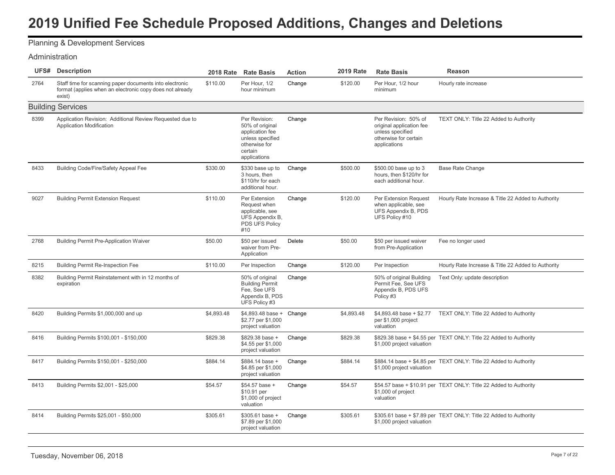# Planning & Development Services

#### Administration

| UFS# | <b>Description</b>                                                                                                            |            | 2018 Rate Rate Basis                                                                                                | <b>Action</b> | <b>2019 Rate</b> | <b>Rate Basis</b>                                                                                             | <b>Reason</b>                                                     |
|------|-------------------------------------------------------------------------------------------------------------------------------|------------|---------------------------------------------------------------------------------------------------------------------|---------------|------------------|---------------------------------------------------------------------------------------------------------------|-------------------------------------------------------------------|
| 2764 | Staff time for scanning paper documents into electronic<br>format (applies when an electronic copy does not already<br>exist) | \$110.00   | Per Hour, 1/2<br>hour minimum                                                                                       | Change        | \$120.00         | Per Hour. 1/2 hour<br>minimum                                                                                 | Hourly rate increase                                              |
|      | <b>Building Services</b>                                                                                                      |            |                                                                                                                     |               |                  |                                                                                                               |                                                                   |
| 8399 | Application Revision: Additional Review Requested due to<br><b>Application Modification</b>                                   |            | Per Revision:<br>50% of original<br>application fee<br>unless specified<br>otherwise for<br>certain<br>applications | Change        |                  | Per Revision: 50% of<br>original application fee<br>unless specified<br>otherwise for certain<br>applications | TEXT ONLY: Title 22 Added to Authority                            |
| 8433 | Building Code/Fire/Safety Appeal Fee                                                                                          | \$330.00   | \$330 base up to<br>3 hours, then<br>\$110/hr for each<br>additional hour.                                          | Change        | \$500.00         | \$500.00 base up to 3<br>hours, then \$120/hr for<br>each additional hour.                                    | Base Rate Change                                                  |
| 9027 | <b>Building Permit Extension Request</b>                                                                                      | \$110.00   | Per Extension<br>Request when<br>applicable, see<br>UFS Appendix B,<br>PDS UFS Policy<br>#10                        | Change        | \$120.00         | Per Extension Request<br>when applicable, see<br>UFS Appendix B, PDS<br>UFS Policy #10                        | Hourly Rate Increase & Title 22 Added to Authority                |
| 2768 | <b>Building Permit Pre-Application Waiver</b>                                                                                 | \$50.00    | \$50 per issued<br>waiver from Pre-<br>Application                                                                  | Delete        | \$50.00          | \$50 per issued waiver<br>from Pre-Application                                                                | Fee no longer used                                                |
| 8215 | <b>Building Permit Re-Inspection Fee</b>                                                                                      | \$110.00   | Per Inspection                                                                                                      | Change        | \$120.00         | Per Inspection                                                                                                | Hourly Rate Increase & Title 22 Added to Authority                |
| 8382 | Building Permit Reinstatement with in 12 months of<br>expiration                                                              |            | 50% of original<br><b>Building Permit</b><br>Fee, See UFS<br>Appendix B, PDS<br>UFS Policy #3                       | Change        |                  | 50% of original Building<br>Permit Fee, See UFS<br>Appendix B, PDS UFS<br>Policy #3                           | Text Only: update description                                     |
| 8420 | Building Permits \$1,000,000 and up                                                                                           | \$4,893.48 | \$4,893.48 base + Change<br>\$2.77 per \$1,000<br>project valuation                                                 |               | \$4,893.48       | per \$1,000 project<br>valuation                                                                              | \$4,893.48 base + \$2.77 TEXT ONLY: Title 22 Added to Authority   |
| 8416 | Building Permits \$100,001 - \$150,000                                                                                        | \$829.38   | \$829.38 base +<br>\$4.55 per \$1,000<br>project valuation                                                          | Change        | \$829.38         | \$1,000 project valuation                                                                                     | \$829.38 base + \$4.55 per TEXT ONLY: Title 22 Added to Authority |
| 8417 | Building Permits \$150,001 - \$250,000                                                                                        | \$884.14   | \$884.14 base +<br>\$4.85 per \$1,000<br>project valuation                                                          | Change        | \$884.14         | \$1,000 project valuation                                                                                     | \$884.14 base + \$4.85 per TEXT ONLY: Title 22 Added to Authority |
| 8413 | Building Permits \$2,001 - \$25,000                                                                                           | \$54.57    | \$54.57 base +<br>\$10.91 per<br>\$1,000 of project<br>valuation                                                    | Change        | \$54.57          | \$1,000 of project<br>valuation                                                                               | \$54.57 base + \$10.91 per TEXT ONLY: Title 22 Added to Authority |
| 8414 | Building Permits \$25,001 - \$50,000                                                                                          | \$305.61   | \$305.61 base +<br>\$7.89 per \$1,000<br>project valuation                                                          | Change        | \$305.61         | \$1,000 project valuation                                                                                     | \$305.61 base + \$7.89 per TEXT ONLY: Title 22 Added to Authority |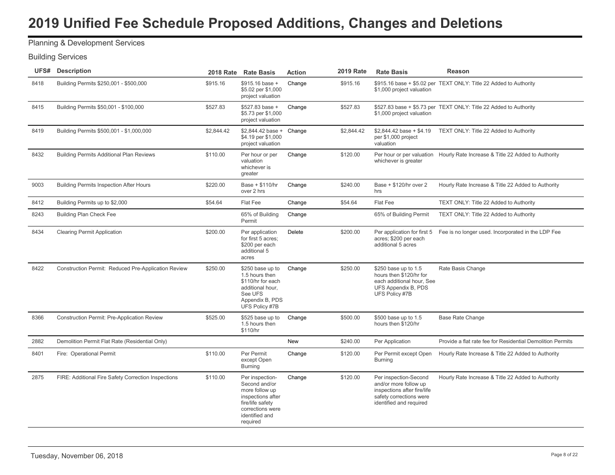# Planning & Development Services

|      | <b>UFS#</b> Description                             |            | 2018 Rate Rate Basis                                                                                                                          | <b>Action</b> | <b>2019 Rate</b> | <b>Rate Basis</b>                                                                                                                   | Reason                                                                         |
|------|-----------------------------------------------------|------------|-----------------------------------------------------------------------------------------------------------------------------------------------|---------------|------------------|-------------------------------------------------------------------------------------------------------------------------------------|--------------------------------------------------------------------------------|
| 8418 | Building Permits \$250,001 - \$500,000              | \$915.16   | \$915.16 base +<br>\$5.02 per \$1,000<br>project valuation                                                                                    | Change        | \$915.16         | \$1,000 project valuation                                                                                                           | \$915.16 base + \$5.02 per TEXT ONLY: Title 22 Added to Authority              |
| 8415 | Building Permits \$50,001 - \$100,000               | \$527.83   | \$527.83 base +<br>\$5.73 per \$1,000<br>project valuation                                                                                    | Change        | \$527.83         | \$1,000 project valuation                                                                                                           | \$527.83 base + \$5.73 per TEXT ONLY: Title 22 Added to Authority              |
| 8419 | Building Permits \$500,001 - \$1,000,000            | \$2,844.42 | $$2,844.42$ base + Change<br>\$4.19 per \$1,000<br>project valuation                                                                          |               | \$2,844.42       | $$2,844.42$ base + \$4.19<br>per \$1,000 project<br>valuation                                                                       | TEXT ONLY: Title 22 Added to Authority                                         |
| 8432 | <b>Building Permits Additional Plan Reviews</b>     | \$110.00   | Per hour or per<br>valuation<br>whichever is<br>greater                                                                                       | Change        | \$120.00         | whichever is greater                                                                                                                | Per hour or per valuation Hourly Rate Increase & Title 22 Added to Authority   |
| 9003 | <b>Building Permits Inspection After Hours</b>      | \$220.00   | Base + \$110/hr<br>over 2 hrs                                                                                                                 | Change        | \$240.00         | Base + \$120/hr over 2<br>hrs                                                                                                       | Hourly Rate Increase & Title 22 Added to Authority                             |
| 8412 | Building Permits up to \$2,000                      | \$54.64    | Flat Fee                                                                                                                                      | Change        | \$54.64          | Flat Fee                                                                                                                            | TEXT ONLY: Title 22 Added to Authority                                         |
| 8243 | <b>Building Plan Check Fee</b>                      |            | 65% of Building<br>Permit                                                                                                                     | Change        |                  | 65% of Building Permit                                                                                                              | TEXT ONLY: Title 22 Added to Authority                                         |
| 8434 | <b>Clearing Permit Application</b>                  | \$200.00   | Per application<br>for first 5 acres;<br>\$200 per each<br>additional 5<br>acres                                                              | Delete        | \$200.00         | acres; \$200 per each<br>additional 5 acres                                                                                         | Per application for first 5 Fee is no longer used. Incorporated in the LDP Fee |
| 8422 | Construction Permit: Reduced Pre-Application Review | \$250.00   | \$250 base up to<br>1.5 hours then<br>\$110/hr for each<br>additional hour.<br>See UFS<br>Appendix B, PDS<br>UFS Policy #7B                   | Change        | \$250.00         | \$250 base up to 1.5<br>hours then \$120/hr for<br>each additional hour, See<br><b>UFS Appendix B, PDS</b><br>UFS Policy #7B        | Rate Basis Change                                                              |
| 8366 | <b>Construction Permit: Pre-Application Review</b>  | \$525.00   | \$525 base up to<br>1.5 hours then<br>\$110/hr                                                                                                | Change        | \$500.00         | \$500 base up to 1.5<br>hours then \$120/hr                                                                                         | <b>Base Rate Change</b>                                                        |
| 2882 | Demolition Permit Flat Rate (Residential Only)      |            |                                                                                                                                               | New           | \$240.00         | Per Application                                                                                                                     | Provide a flat rate fee for Residential Demolition Permits                     |
| 8401 | Fire: Operational Permit                            | \$110.00   | Per Permit<br>except Open<br><b>Burning</b>                                                                                                   | Change        | \$120.00         | Per Permit except Open<br><b>Burning</b>                                                                                            | Hourly Rate Increase & Title 22 Added to Authority                             |
| 2875 | FIRE: Additional Fire Safety Correction Inspections | \$110.00   | Per inspection-<br>Second and/or<br>more follow up<br>inspections after<br>fire/life safety<br>corrections were<br>identified and<br>required | Change        | \$120.00         | Per inspection-Second<br>and/or more follow up<br>inspections after fire/life<br>safety corrections were<br>identified and required | Hourly Rate Increase & Title 22 Added to Authority                             |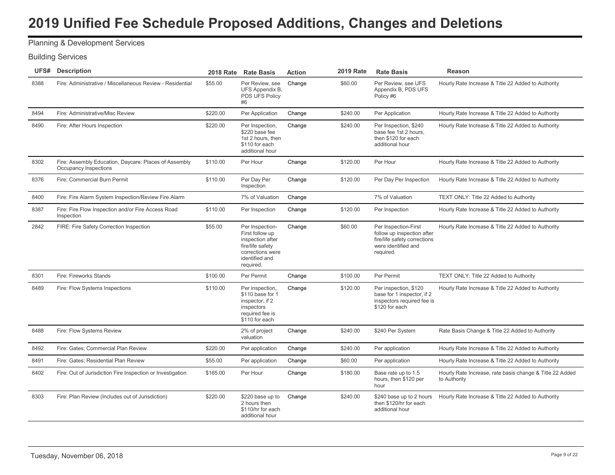# Planning & Development Services

| UFS# | <b>Description</b>                                                             | <b>2018 Rate</b> | <b>Rate Basis</b>                                                                                                             | <b>Action</b> | <b>2019 Rate</b> | <b>Rate Basis</b>                                                                                                      | Reason                                                                   |
|------|--------------------------------------------------------------------------------|------------------|-------------------------------------------------------------------------------------------------------------------------------|---------------|------------------|------------------------------------------------------------------------------------------------------------------------|--------------------------------------------------------------------------|
| 8388 | Fire: Administrative / Miscellaneous Review - Residential                      | \$55.00          | Per Review, see<br>UFS Appendix B,<br>PDS UFS Policy<br>#6                                                                    | Change        | \$60.00          | Per Review, see UFS<br>Appendix B, PDS UFS<br>Policy #6                                                                | Hourly Rate Increase & Title 22 Added to Authority                       |
| 8494 | Fire: Administrative/Misc Review                                               | \$220.00         | Per Application                                                                                                               | Change        | \$240.00         | Per Application                                                                                                        | Hourly Rate Increase & Title 22 Added to Authority                       |
| 8490 | Fire: After Hours Inspection                                                   | \$220.00         | Per Inspection,<br>\$220 base fee<br>1st 2 hours, then<br>\$110 for each<br>additional hour                                   | Change        | \$240.00         | Per Inspection, \$240<br>base fee 1st 2 hours,<br>then \$120 for each<br>additional hour                               | Hourly Rate Increase & Title 22 Added to Authority                       |
| 8302 | Fire: Assembly Education, Daycare: Places of Assembly<br>Occupancy Inspections | \$110.00         | Per Hour                                                                                                                      | Change        | \$120.00         | Per Hour                                                                                                               | Hourly Rate Increase & Title 22 Added to Authority                       |
| 8376 | Fire: Commercial Burn Permit                                                   | \$110.00         | Per Day Per<br>Inspection                                                                                                     | Change        | \$120.00         | Per Day Per Inspection                                                                                                 | Hourly Rate Increase & Title 22 Added to Authority                       |
| 8400 | Fire: Fire Alarm System Inspection/Review Fire Alarm                           |                  | 7% of Valuation                                                                                                               | Change        |                  | 7% of Valuation                                                                                                        | TEXT ONLY: Title 22 Added to Authority                                   |
| 8387 | Fire: Fire Flow Inspection and/or Fire Access Road<br>Inspection               | \$110.00         | Per Inspection                                                                                                                | Change        | \$120.00         | Per Inspection                                                                                                         | Hourly Rate Increase & Title 22 Added to Authority                       |
| 2842 | FIRE: Fire Safety Correction Inspection                                        | \$55.00          | Per Inspection-<br>First follow up<br>inspection after<br>fire/life safety<br>corrections were<br>identified and<br>required. | Change        | \$60.00          | Per Inspection-First<br>follow up inspection after<br>fire/life safety corrections<br>were identified and<br>required. | Hourly Rate Increase & Title 22 Added to Authority                       |
| 8301 | Fire: Fireworks Stands                                                         | \$100.00         | Per Permit                                                                                                                    | Change        | \$100.00         | Per Permit                                                                                                             | TEXT ONLY: Title 22 Added to Authority                                   |
| 8489 | Fire: Flow Systems Inspections                                                 | \$110.00         | Per inspection,<br>\$110 base for 1<br>inspector, if 2<br>inspectors<br>required fee is<br>\$110 for each                     | Change        | \$120.00         | Per inspection, \$120<br>base for 1 inspector, if 2<br>inspectors required fee is<br>\$120 for each                    | Hourly Rate Increase & Title 22 Added to Authority                       |
| 8488 | Fire: Flow Systems Review                                                      |                  | 2% of project<br>valuation                                                                                                    | Change        | \$240.00         | \$240 Per System                                                                                                       | Rate Basis Change & Title 22 Added to Authority                          |
| 8492 | Fire: Gates; Commercial Plan Review                                            | \$220.00         | Per application                                                                                                               | Change        | \$240.00         | Per application                                                                                                        | Hourly Rate Increase & Title 22 Added to Authority                       |
| 8491 | Fire: Gates: Residential Plan Review                                           | \$55.00          | Per application                                                                                                               | Change        | \$60.00          | Per application                                                                                                        | Hourly Rate Increase & Title 22 Added to Authority                       |
| 8402 | Fire: Out of Jurisdiction Fire Inspection or Investigation                     | \$165.00         | Per Hour                                                                                                                      | Change        | \$180.00         | Base rate up to 1.5<br>hours, then \$120 per<br>hour                                                                   | Hourly Rate Increase, rate basis change & Title 22 Added<br>to Authority |
| 8303 | Fire: Plan Review (Includes out of Jurisdiction)                               | \$220.00         | \$220 base up to<br>2 hours then<br>\$110/hr for each<br>additional hour                                                      | Change        | \$240.00         | \$240 base up to 2 hours<br>then \$120/hr for each<br>additional hour                                                  | Hourly Rate Increase & Title 22 Added to Authority                       |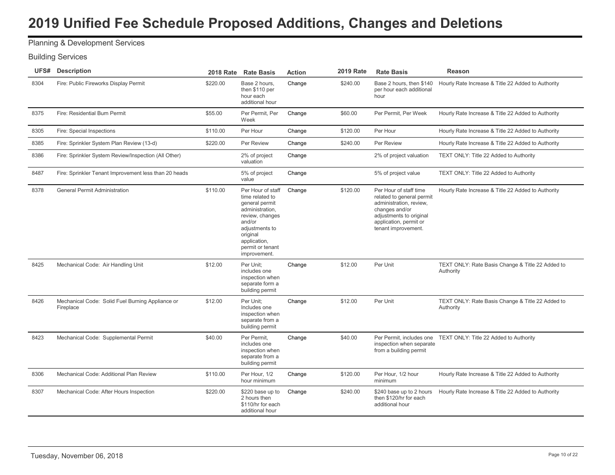# Planning & Development Services

|      | <b>UFS#</b> Description                                       |          | 2018 Rate Rate Basis                                                                                                                                                                     | <b>Action</b> | <b>2019 Rate</b> | <b>Rate Basis</b>                                                                                                                                                            | Reason                                                          |
|------|---------------------------------------------------------------|----------|------------------------------------------------------------------------------------------------------------------------------------------------------------------------------------------|---------------|------------------|------------------------------------------------------------------------------------------------------------------------------------------------------------------------------|-----------------------------------------------------------------|
| 8304 | Fire: Public Fireworks Display Permit                         | \$220.00 | Base 2 hours,<br>then \$110 per<br>hour each<br>additional hour                                                                                                                          | Change        | \$240.00         | Base 2 hours, then \$140<br>per hour each additional<br>hour                                                                                                                 | Hourly Rate Increase & Title 22 Added to Authority              |
| 8375 | Fire: Residential Burn Permit                                 | \$55.00  | Per Permit, Per<br>Week                                                                                                                                                                  | Change        | \$60.00          | Per Permit, Per Week                                                                                                                                                         | Hourly Rate Increase & Title 22 Added to Authority              |
| 8305 | Fire: Special Inspections                                     | \$110.00 | Per Hour                                                                                                                                                                                 | Change        | \$120.00         | Per Hour                                                                                                                                                                     | Hourly Rate Increase & Title 22 Added to Authority              |
| 8385 | Fire: Sprinkler System Plan Review (13-d)                     | \$220.00 | Per Review                                                                                                                                                                               | Change        | \$240.00         | Per Review                                                                                                                                                                   | Hourly Rate Increase & Title 22 Added to Authority              |
| 8386 | Fire: Sprinkler System Review/Inspection (All Other)          |          | 2% of project<br>valuation                                                                                                                                                               | Change        |                  | 2% of project valuation                                                                                                                                                      | TEXT ONLY: Title 22 Added to Authority                          |
| 8487 | Fire: Sprinkler Tenant Improvement less than 20 heads         |          | 5% of project<br>value                                                                                                                                                                   | Change        |                  | 5% of project value                                                                                                                                                          | TEXT ONLY: Title 22 Added to Authority                          |
| 8378 | <b>General Permit Administration</b>                          | \$110.00 | Per Hour of staff<br>time related to<br>general permit<br>administration,<br>review, changes<br>and/or<br>adjustments to<br>original<br>application,<br>permit or tenant<br>improvement. | Change        | \$120.00         | Per Hour of staff time<br>related to general permit<br>administration, review,<br>changes and/or<br>adjustments to original<br>application, permit or<br>tenant improvement. | Hourly Rate Increase & Title 22 Added to Authority              |
| 8425 | Mechanical Code: Air Handling Unit                            | \$12.00  | Per Unit:<br>includes one<br>inspection when<br>separate form a<br>building permit                                                                                                       | Change        | \$12.00          | Per Unit                                                                                                                                                                     | TEXT ONLY: Rate Basis Change & Title 22 Added to<br>Authority   |
| 8426 | Mechanical Code: Solid Fuel Burning Appliance or<br>Fireplace | \$12.00  | Per Unit:<br>Includes one<br>inspection when<br>separate from a<br>building permit                                                                                                       | Change        | \$12.00          | Per Unit                                                                                                                                                                     | TEXT ONLY: Rate Basis Change & Title 22 Added to<br>Authority   |
| 8423 | Mechanical Code: Supplemental Permit                          | \$40.00  | Per Permit.<br>includes one<br>inspection when<br>separate from a<br>building permit                                                                                                     | Change        | \$40.00          | inspection when separate<br>from a building permit                                                                                                                           | Per Permit, includes one TEXT ONLY: Title 22 Added to Authority |
| 8306 | Mechanical Code: Additional Plan Review                       | \$110.00 | Per Hour, 1/2<br>hour minimum                                                                                                                                                            | Change        | \$120.00         | Per Hour, 1/2 hour<br>minimum                                                                                                                                                | Hourly Rate Increase & Title 22 Added to Authority              |
| 8307 | Mechanical Code: After Hours Inspection                       | \$220.00 | \$220 base up to<br>2 hours then<br>\$110/hr for each<br>additional hour                                                                                                                 | Change        | \$240.00         | \$240 base up to 2 hours<br>then \$120/hr for each<br>additional hour                                                                                                        | Hourly Rate Increase & Title 22 Added to Authority              |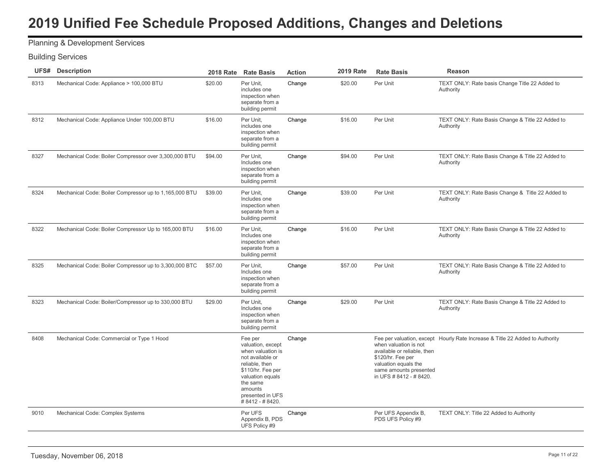# Planning & Development Services

| UFS# | <b>Description</b>                                     |         | 2018 Rate Rate Basis                                                                                                                                                                          | <b>Action</b> | <b>2019 Rate</b> | <b>Rate Basis</b>                                                                                                                                      | Reason                                                                       |
|------|--------------------------------------------------------|---------|-----------------------------------------------------------------------------------------------------------------------------------------------------------------------------------------------|---------------|------------------|--------------------------------------------------------------------------------------------------------------------------------------------------------|------------------------------------------------------------------------------|
| 8313 | Mechanical Code: Appliance > 100,000 BTU               | \$20.00 | Per Unit.<br>includes one<br>inspection when<br>separate from a<br>building permit                                                                                                            | Change        | \$20.00          | Per Unit                                                                                                                                               | TEXT ONLY: Rate basis Change Title 22 Added to<br>Authority                  |
| 8312 | Mechanical Code: Appliance Under 100,000 BTU           | \$16.00 | Per Unit,<br>includes one<br>inspection when<br>separate from a<br>building permit                                                                                                            | Change        | \$16.00          | Per Unit                                                                                                                                               | TEXT ONLY: Rate Basis Change & Title 22 Added to<br>Authority                |
| 8327 | Mechanical Code: Boiler Compressor over 3,300,000 BTU  | \$94.00 | Per Unit,<br>Includes one<br>inspection when<br>separate from a<br>building permit                                                                                                            | Change        | \$94.00          | Per Unit                                                                                                                                               | TEXT ONLY: Rate Basis Change & Title 22 Added to<br>Authority                |
| 8324 | Mechanical Code: Boiler Compressor up to 1,165,000 BTU | \$39.00 | Per Unit.<br>Includes one<br>inspection when<br>separate from a<br>building permit                                                                                                            | Change        | \$39.00          | Per Unit                                                                                                                                               | TEXT ONLY: Rate Basis Change & Title 22 Added to<br>Authority                |
| 8322 | Mechanical Code: Boiler Compressor Up to 165,000 BTU   | \$16.00 | Per Unit.<br>Includes one<br>inspection when<br>separate from a<br>building permit                                                                                                            | Change        | \$16.00          | Per Unit                                                                                                                                               | TEXT ONLY: Rate Basis Change & Title 22 Added to<br>Authority                |
| 8325 | Mechanical Code: Boiler Compressor up to 3,300,000 BTC | \$57.00 | Per Unit,<br>Includes one<br>inspection when<br>separate from a<br>building permit                                                                                                            | Change        | \$57.00          | Per Unit                                                                                                                                               | TEXT ONLY: Rate Basis Change & Title 22 Added to<br>Authority                |
| 8323 | Mechanical Code: Boiler/Compressor up to 330,000 BTU   | \$29.00 | Per Unit,<br>Includes one<br>inspection when<br>separate from a<br>building permit                                                                                                            | Change        | \$29.00          | Per Unit                                                                                                                                               | TEXT ONLY: Rate Basis Change & Title 22 Added to<br>Authority                |
| 8408 | Mechanical Code: Commercial or Type 1 Hood             |         | Fee per<br>valuation, except<br>when valuation is<br>not available or<br>reliable, then<br>\$110/hr. Fee per<br>valuation equals<br>the same<br>amounts<br>presented in UFS<br>#8412 - #8420. | Change        |                  | when valuation is not<br>available or reliable, then<br>\$120/hr. Fee per<br>valuation equals the<br>same amounts presented<br>in UFS # 8412 - # 8420. | Fee per valuation, except Hourly Rate Increase & Title 22 Added to Authority |
| 9010 | Mechanical Code: Complex Systems                       |         | Per UFS<br>Appendix B, PDS<br>UFS Policy #9                                                                                                                                                   | Change        |                  | Per UFS Appendix B,<br>PDS UFS Policy #9                                                                                                               | TEXT ONLY: Title 22 Added to Authority                                       |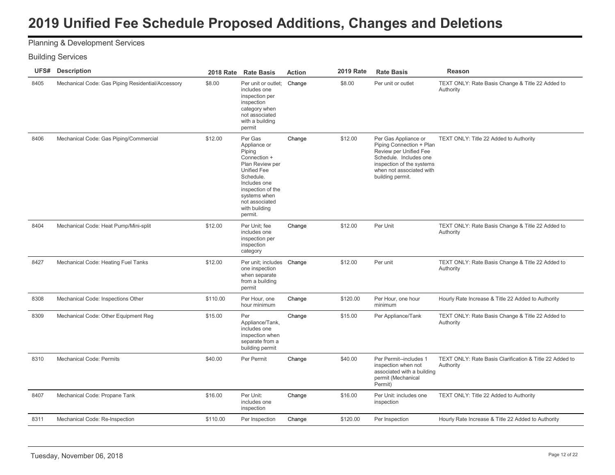# Planning & Development Services

| UFS# | <b>Description</b>                                | <b>2018 Rate</b> | <b>Rate Basis</b>                                                                                                                                                                                   | <b>Action</b> | <b>2019 Rate</b> | <b>Rate Basis</b>                                                                                                                                                                 | <b>Reason</b>                                                        |
|------|---------------------------------------------------|------------------|-----------------------------------------------------------------------------------------------------------------------------------------------------------------------------------------------------|---------------|------------------|-----------------------------------------------------------------------------------------------------------------------------------------------------------------------------------|----------------------------------------------------------------------|
| 8405 | Mechanical Code: Gas Piping Residential/Accessory | \$8.00           | Per unit or outlet:<br>includes one<br>inspection per<br>inspection<br>category when<br>not associated<br>with a building<br>permit                                                                 | Change        | \$8.00           | Per unit or outlet                                                                                                                                                                | TEXT ONLY: Rate Basis Change & Title 22 Added to<br>Authority        |
| 8406 | Mechanical Code: Gas Piping/Commercial            | \$12.00          | Per Gas<br>Appliance or<br>Piping<br>Connection +<br>Plan Review per<br>Unified Fee<br>Schedule.<br>Includes one<br>inspection of the<br>systems when<br>not associated<br>with building<br>permit. | Change        | \$12.00          | Per Gas Appliance or<br>Piping Connection + Plan<br>Review per Unified Fee<br>Schedule. Includes one<br>inspection of the systems<br>when not associated with<br>building permit. | TEXT ONLY: Title 22 Added to Authority                               |
| 8404 | Mechanical Code: Heat Pump/Mini-split             | \$12.00          | Per Unit: fee<br>includes one<br>inspection per<br>inspection<br>category                                                                                                                           | Change        | \$12.00          | Per Unit                                                                                                                                                                          | TEXT ONLY: Rate Basis Change & Title 22 Added to<br>Authority        |
| 8427 | Mechanical Code: Heating Fuel Tanks               | \$12.00          | Per unit: includes<br>one inspection<br>when separate<br>from a building<br>permit                                                                                                                  | Change        | \$12.00          | Per unit                                                                                                                                                                          | TEXT ONLY: Rate Basis Change & Title 22 Added to<br>Authority        |
| 8308 | Mechanical Code: Inspections Other                | \$110.00         | Per Hour, one<br>hour minimum                                                                                                                                                                       | Change        | \$120.00         | Per Hour, one hour<br>minimum                                                                                                                                                     | Hourly Rate Increase & Title 22 Added to Authority                   |
| 8309 | Mechanical Code: Other Equipment Reg              | \$15.00          | Per<br>Appliance/Tank,<br>includes one<br>inspection when<br>separate from a<br>building permit                                                                                                     | Change        | \$15.00          | Per Appliance/Tank                                                                                                                                                                | TEXT ONLY: Rate Basis Change & Title 22 Added to<br>Authority        |
| 8310 | <b>Mechanical Code: Permits</b>                   | \$40.00          | Per Permit                                                                                                                                                                                          | Change        | \$40.00          | Per Permit--includes 1<br>inspection when not<br>associated with a building<br>permit (Mechanical<br>Permit)                                                                      | TEXT ONLY: Rate Basis Clarification & Title 22 Added to<br>Authority |
| 8407 | Mechanical Code: Propane Tank                     | \$16.00          | Per Unit:<br>includes one<br>inspection                                                                                                                                                             | Change        | \$16.00          | Per Unit: includes one<br>inspection                                                                                                                                              | TEXT ONLY: Title 22 Added to Authority                               |
| 8311 | Mechanical Code: Re-Inspection                    | \$110.00         | Per Inspection                                                                                                                                                                                      | Change        | \$120.00         | Per Inspection                                                                                                                                                                    | Hourly Rate Increase & Title 22 Added to Authority                   |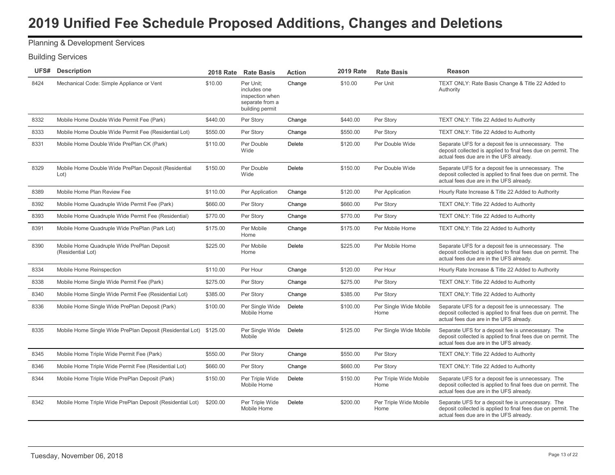# Planning & Development Services

| 8424 | Mechanical Code: Simple Appliance or Vent                          | \$10.00  | Per Unit:<br>includes one<br>inspection when<br>separate from a<br>building permit | Change | \$10.00  | Per Unit                       | TEXT ONLY: Rate Basis Change & Title 22 Added to<br>Authority                                                                                                  |
|------|--------------------------------------------------------------------|----------|------------------------------------------------------------------------------------|--------|----------|--------------------------------|----------------------------------------------------------------------------------------------------------------------------------------------------------------|
| 8332 | Mobile Home Double Wide Permit Fee (Park)                          | \$440.00 | Per Story                                                                          | Change | \$440.00 | Per Story                      | TEXT ONLY: Title 22 Added to Authority                                                                                                                         |
| 8333 | Mobile Home Double Wide Permit Fee (Residential Lot)               | \$550.00 | Per Story                                                                          | Change | \$550.00 | Per Story                      | TEXT ONLY: Title 22 Added to Authority                                                                                                                         |
| 8331 | Mobile Home Double Wide PrePlan CK (Park)                          | \$110.00 | Per Double<br>Wide                                                                 | Delete | \$120.00 | Per Double Wide                | Separate UFS for a deposit fee is unnecessary. The<br>deposit collected is applied to final fees due on permit. The<br>actual fees due are in the UFS already. |
| 8329 | Mobile Home Double Wide PrePlan Deposit (Residential<br>Lot)       | \$150.00 | Per Double<br>Wide                                                                 | Delete | \$150.00 | Per Double Wide                | Separate UFS for a deposit fee is unnecessary. The<br>deposit collected is applied to final fees due on permit. The<br>actual fees due are in the UFS already. |
| 8389 | Mobile Home Plan Review Fee                                        | \$110.00 | Per Application                                                                    | Change | \$120.00 | Per Application                | Hourly Rate Increase & Title 22 Added to Authority                                                                                                             |
| 8392 | Mobile Home Quadruple Wide Permit Fee (Park)                       | \$660.00 | Per Story                                                                          | Change | \$660.00 | Per Story                      | TEXT ONLY: Title 22 Added to Authority                                                                                                                         |
| 8393 | Mobile Home Quadruple Wide Permit Fee (Residential)                | \$770.00 | Per Story                                                                          | Change | \$770.00 | Per Story                      | TEXT ONLY: Title 22 Added to Authority                                                                                                                         |
| 8391 | Mobile Home Quadruple Wide PrePlan (Park Lot)                      | \$175.00 | Per Mobile<br>Home                                                                 | Change | \$175.00 | Per Mobile Home                | TEXT ONLY: Title 22 Added to Authority                                                                                                                         |
| 8390 | Mobile Home Quadruple Wide PrePlan Deposit<br>(Residential Lot)    | \$225.00 | Per Mobile<br>Home                                                                 | Delete | \$225.00 | Per Mobile Home                | Separate UFS for a deposit fee is unnecessary. The<br>deposit collected is applied to final fees due on permit. The<br>actual fees due are in the UFS already. |
| 8334 | Mobile Home Reinspection                                           | \$110.00 | Per Hour                                                                           | Change | \$120.00 | Per Hour                       | Hourly Rate Increase & Title 22 Added to Authority                                                                                                             |
| 8338 | Mobile Home Single Wide Permit Fee (Park)                          | \$275.00 | Per Story                                                                          | Change | \$275.00 | Per Story                      | TEXT ONLY: Title 22 Added to Authority                                                                                                                         |
| 8340 | Mobile Home Single Wide Permit Fee (Residential Lot)               | \$385.00 | Per Story                                                                          | Change | \$385.00 | Per Story                      | TEXT ONLY: Title 22 Added to Authority                                                                                                                         |
| 8336 | Mobile Home Single Wide PrePlan Deposit (Park)                     | \$100.00 | Per Single Wide<br>Mobile Home                                                     | Delete | \$100.00 | Per Single Wide Mobile<br>Home | Separate UFS for a deposit fee is unnecessary. The<br>deposit collected is applied to final fees due on permit. The<br>actual fees due are in the UFS already. |
| 8335 | Mobile Home Single Wide PrePlan Deposit (Residential Lot) \$125.00 |          | Per Single Wide<br>Mobile                                                          | Delete | \$125.00 | Per Single Wide Mobile         | Separate UFS for a deposit fee is unnecessary. The<br>deposit collected is applied to final fees due on permit. The<br>actual fees due are in the UFS already. |
| 8345 | Mobile Home Triple Wide Permit Fee (Park)                          | \$550.00 | Per Story                                                                          | Change | \$550.00 | Per Story                      | TEXT ONLY: Title 22 Added to Authority                                                                                                                         |
| 8346 | Mobile Home Triple Wide Permit Fee (Residential Lot)               | \$660.00 | Per Story                                                                          | Change | \$660.00 | Per Story                      | TEXT ONLY: Title 22 Added to Authority                                                                                                                         |
| 8344 | Mobile Home Triple Wide PrePlan Deposit (Park)                     | \$150.00 | Per Triple Wide<br>Mobile Home                                                     | Delete | \$150.00 | Per Triple Wide Mobile<br>Home | Separate UFS for a deposit fee is unnecessary. The<br>deposit collected is applied to final fees due on permit. The<br>actual fees due are in the UFS already. |
| 8342 | Mobile Home Triple Wide PrePlan Deposit (Residential Lot)          | \$200.00 | Per Triple Wide<br>Mobile Home                                                     | Delete | \$200.00 | Per Triple Wide Mobile<br>Home | Separate UFS for a deposit fee is unnecessary. The<br>deposit collected is applied to final fees due on permit. The<br>actual fees due are in the UFS already. |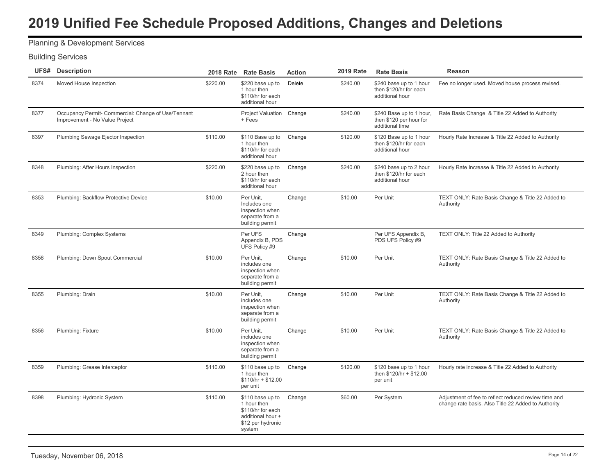### Planning & Development Services

| UFS# | <b>Description</b>                                                                    | <b>2018 Rate</b> | <b>Rate Basis</b>                                                                                        | <b>Action</b> | <b>2019 Rate</b> | <b>Rate Basis</b>                                                      | Reason                                                                                                      |
|------|---------------------------------------------------------------------------------------|------------------|----------------------------------------------------------------------------------------------------------|---------------|------------------|------------------------------------------------------------------------|-------------------------------------------------------------------------------------------------------------|
| 8374 | Moved House Inspection                                                                | \$220.00         | \$220 base up to<br>1 hour then<br>\$110/hr for each<br>additional hour                                  | Delete        | \$240.00         | \$240 base up to 1 hour<br>then \$120/hr for each<br>additional hour   | Fee no longer used. Moved house process revised.                                                            |
| 8377 | Occupancy Permit- Commercial: Change of Use/Tennant<br>Improvement - No Value Project |                  | Project Valuation Change<br>+ Fees                                                                       |               | \$240.00         | \$240 Base up to 1 hour,<br>then \$120 per hour for<br>additional time | Rate Basis Change & Title 22 Added to Authority                                                             |
| 8397 | Plumbing Sewage Ejector Inspection                                                    | \$110.00         | \$110 Base up to<br>1 hour then<br>\$110/hr for each<br>additional hour                                  | Change        | \$120.00         | \$120 Base up to 1 hour<br>then \$120/hr for each<br>additional hour   | Hourly Rate Increase & Title 22 Added to Authority                                                          |
| 8348 | Plumbing: After Hours Inspection                                                      | \$220.00         | \$220 base up to<br>2 hour then<br>\$110/hr for each<br>additional hour                                  | Change        | \$240.00         | \$240 base up to 2 hour<br>then \$120/hr for each<br>additional hour   | Hourly Rate Increase & Title 22 Added to Authority                                                          |
| 8353 | Plumbing: Backflow Protective Device                                                  | \$10.00          | Per Unit,<br>Includes one<br>inspection when<br>separate from a<br>building permit                       | Change        | \$10.00          | Per Unit                                                               | TEXT ONLY: Rate Basis Change & Title 22 Added to<br>Authority                                               |
| 8349 | Plumbing: Complex Systems                                                             |                  | Per UFS<br>Appendix B, PDS<br>UFS Policy #9                                                              | Change        |                  | Per UFS Appendix B,<br>PDS UFS Policy #9                               | TEXT ONLY: Title 22 Added to Authority                                                                      |
| 8358 | Plumbing: Down Spout Commercial                                                       | \$10.00          | Per Unit.<br>includes one<br>inspection when<br>separate from a<br>building permit                       | Change        | \$10.00          | Per Unit                                                               | TEXT ONLY: Rate Basis Change & Title 22 Added to<br>Authority                                               |
| 8355 | Plumbing: Drain                                                                       | \$10.00          | Per Unit,<br>includes one<br>inspection when<br>separate from a<br>building permit                       | Change        | \$10.00          | Per Unit                                                               | TEXT ONLY: Rate Basis Change & Title 22 Added to<br>Authority                                               |
| 8356 | Plumbing: Fixture                                                                     | \$10.00          | Per Unit.<br>includes one<br>inspection when<br>separate from a<br>building permit                       | Change        | \$10.00          | Per Unit                                                               | TEXT ONLY: Rate Basis Change & Title 22 Added to<br>Authority                                               |
| 8359 | Plumbing: Grease Interceptor                                                          | \$110.00         | \$110 base up to<br>1 hour then<br>$$110/hr + $12.00$<br>per unit                                        | Change        | \$120.00         | \$120 base up to 1 hour<br>then \$120/hr + \$12.00<br>per unit         | Hourly rate increase & Title 22 Added to Authority                                                          |
| 8398 | Plumbing: Hydronic System                                                             | \$110.00         | \$110 base up to<br>1 hour then<br>\$110/hr for each<br>additional hour +<br>\$12 per hydronic<br>system | Change        | \$60.00          | Per System                                                             | Adjustment of fee to reflect reduced review time and<br>change rate basis. Also Title 22 Added to Authority |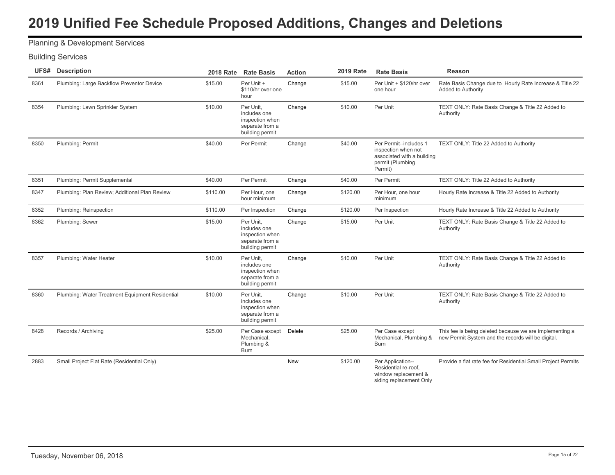### Planning & Development Services

| UFS# | <b>Description</b>                              | <b>2018 Rate</b> | <b>Rate Basis</b>                                                                  | <b>Action</b> | <b>2019 Rate</b> | <b>Rate Basis</b>                                                                                          | <b>Reason</b>                                                                                                 |
|------|-------------------------------------------------|------------------|------------------------------------------------------------------------------------|---------------|------------------|------------------------------------------------------------------------------------------------------------|---------------------------------------------------------------------------------------------------------------|
| 8361 | Plumbing: Large Backflow Preventor Device       | \$15.00          | Per Unit +<br>\$110/hr over one<br>hour                                            | Change        | \$15.00          | Per Unit + \$120/hr over<br>one hour                                                                       | Rate Basis Change due to Hourly Rate Increase & Title 22<br>Added to Authority                                |
| 8354 | Plumbing: Lawn Sprinkler System                 | \$10.00          | Per Unit,<br>includes one<br>inspection when<br>separate from a<br>building permit | Change        | \$10.00          | Per Unit                                                                                                   | TEXT ONLY: Rate Basis Change & Title 22 Added to<br>Authority                                                 |
| 8350 | Plumbing: Permit                                | \$40.00          | Per Permit                                                                         | Change        | \$40.00          | Per Permit--includes 1<br>inspection when not<br>associated with a building<br>permit (Plumbing<br>Permit) | TEXT ONLY: Title 22 Added to Authority                                                                        |
| 8351 | Plumbing: Permit Supplemental                   | \$40.00          | Per Permit                                                                         | Change        | \$40.00          | Per Permit                                                                                                 | TEXT ONLY: Title 22 Added to Authority                                                                        |
| 8347 | Plumbing: Plan Review; Additional Plan Review   | \$110.00         | Per Hour, one<br>hour minimum                                                      | Change        | \$120.00         | Per Hour, one hour<br>minimum                                                                              | Hourly Rate Increase & Title 22 Added to Authority                                                            |
| 8352 | Plumbing: Reinspection                          | \$110.00         | Per Inspection                                                                     | Change        | \$120.00         | Per Inspection                                                                                             | Hourly Rate Increase & Title 22 Added to Authority                                                            |
| 8362 | Plumbing: Sewer                                 | \$15.00          | Per Unit.<br>includes one<br>inspection when<br>separate from a<br>building permit | Change        | \$15.00          | Per Unit                                                                                                   | TEXT ONLY: Rate Basis Change & Title 22 Added to<br>Authority                                                 |
| 8357 | Plumbing: Water Heater                          | \$10.00          | Per Unit.<br>includes one<br>inspection when<br>separate from a<br>building permit | Change        | \$10.00          | Per Unit                                                                                                   | TEXT ONLY: Rate Basis Change & Title 22 Added to<br>Authority                                                 |
| 8360 | Plumbing: Water Treatment Equipment Residential | \$10.00          | Per Unit,<br>includes one<br>inspection when<br>separate from a<br>building permit | Change        | \$10.00          | Per Unit                                                                                                   | TEXT ONLY: Rate Basis Change & Title 22 Added to<br>Authority                                                 |
| 8428 | Records / Archiving                             | \$25.00          | Per Case except<br>Mechanical,<br>Plumbing &<br><b>Burn</b>                        | Delete        | \$25.00          | Per Case except<br>Mechanical, Plumbing &<br><b>Burn</b>                                                   | This fee is being deleted because we are implementing a<br>new Permit System and the records will be digital. |
| 2883 | Small Project Flat Rate (Residential Only)      |                  |                                                                                    | New           | \$120.00         | Per Application--<br>Residential re-roof,<br>window replacement &<br>siding replacement Only               | Provide a flat rate fee for Residential Small Project Permits                                                 |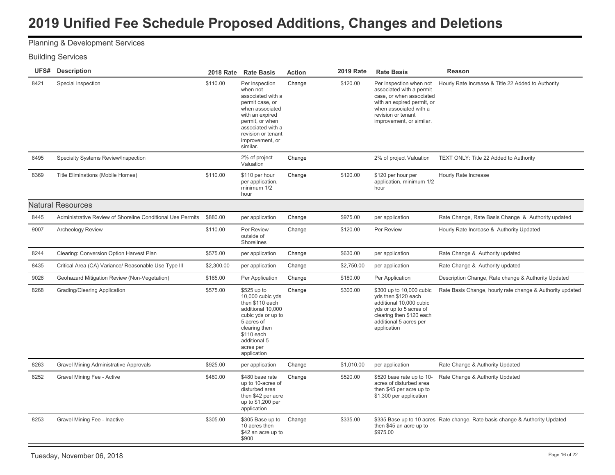# Planning & Development Services

| UFS# | Description                                                |            | 2018 Rate Rate Basis                                                                                                                                                                                  | <b>Action</b> | 2019 Rate  | <b>Rate Basis</b>                                                                                                                                                                         | Reason                                                                       |
|------|------------------------------------------------------------|------------|-------------------------------------------------------------------------------------------------------------------------------------------------------------------------------------------------------|---------------|------------|-------------------------------------------------------------------------------------------------------------------------------------------------------------------------------------------|------------------------------------------------------------------------------|
| 8421 | Special Inspection                                         | \$110.00   | Per Inspection<br>when not<br>associated with a<br>permit case, or<br>when associated<br>with an expired<br>permit, or when<br>associated with a<br>revision or tenant<br>improvement, or<br>similar. | Change        | \$120.00   | Per Inspection when not<br>associated with a permit<br>case, or when associated<br>with an expired permit, or<br>when associated with a<br>revision or tenant<br>improvement, or similar. | Hourly Rate Increase & Title 22 Added to Authority                           |
| 8495 | Specialty Systems Review/Inspection                        |            | 2% of project<br>Valuation                                                                                                                                                                            | Change        |            | 2% of project Valuation                                                                                                                                                                   | TEXT ONLY: Title 22 Added to Authority                                       |
| 8369 | Title Eliminations (Mobile Homes)                          | \$110.00   | \$110 per hour<br>per application,<br>minimum 1/2<br>hour                                                                                                                                             | Change        | \$120.00   | \$120 per hour per<br>application, minimum 1/2<br>hour                                                                                                                                    | Hourly Rate Increase                                                         |
|      | <b>Natural Resources</b>                                   |            |                                                                                                                                                                                                       |               |            |                                                                                                                                                                                           |                                                                              |
| 8445 | Administrative Review of Shoreline Conditional Use Permits | \$880.00   | per application                                                                                                                                                                                       | Change        | \$975.00   | per application                                                                                                                                                                           | Rate Change, Rate Basis Change & Authority updated                           |
| 9007 | Archeology Review                                          | \$110.00   | Per Review<br>outside of<br>Shorelines                                                                                                                                                                | Change        | \$120.00   | Per Review                                                                                                                                                                                | Hourly Rate Increase & Authority Updated                                     |
| 8244 | Clearing: Conversion Option Harvest Plan                   | \$575.00   | per application                                                                                                                                                                                       | Change        | \$630.00   | per application                                                                                                                                                                           | Rate Change & Authority updated                                              |
| 8435 | Critical Area (CA) Variance/ Reasonable Use Type III       | \$2,300.00 | per application                                                                                                                                                                                       | Change        | \$2,750.00 | per application                                                                                                                                                                           | Rate Change & Authority updated                                              |
| 9026 | Geohazard Mitigation Review (Non-Vegetation)               | \$165.00   | Per Application                                                                                                                                                                                       | Change        | \$180.00   | Per Application                                                                                                                                                                           | Description Change, Rate change & Authority Updated                          |
| 8268 | Grading/Clearing Application                               | \$575.00   | \$525 up to<br>10,000 cubic yds<br>then \$110 each<br>additional 10,000<br>cubic yds or up to<br>5 acres of<br>clearing then<br>\$110 each<br>additional 5<br>acres per<br>application                | Change        | \$300.00   | \$300 up to 10,000 cubic<br>yds then \$120 each<br>additional 10,000 cubic<br>yds or up to 5 acres of<br>clearing then \$120 each<br>additional 5 acres per<br>application                | Rate Basis Change, hourly rate change & Authority updated                    |
| 8263 | Gravel Mining Administrative Approvals                     | \$925.00   | per application                                                                                                                                                                                       | Change        | \$1,010.00 | per application                                                                                                                                                                           | Rate Change & Authority Updated                                              |
| 8252 | Gravel Mining Fee - Active                                 | \$480.00   | \$480 base rate<br>up to 10-acres of<br>disturbed area<br>then \$42 per acre<br>up to \$1,200 per<br>application                                                                                      | Change        | \$520.00   | \$520 base rate up to 10-<br>acres of disturbed area<br>then \$45 per acre up to<br>\$1,300 per application                                                                               | Rate Change & Authority Updated                                              |
| 8253 | Gravel Mining Fee - Inactive                               | \$305.00   | \$305 Base up to<br>10 acres then<br>\$42 an acre up to<br>\$900                                                                                                                                      | Change        | \$335.00   | then \$45 an acre up to<br>\$975.00                                                                                                                                                       | \$335 Base up to 10 acres Rate change, Rate basis change & Authority Updated |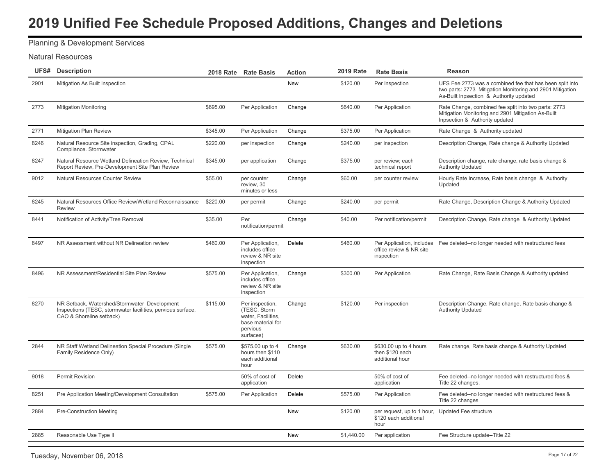# Planning & Development Services

#### Natural Resources

|      | <b>UFS#</b> Description                                                                                                                 |          | 2018 Rate Rate Basis                                                                                 | <b>Action</b> | <b>2019 Rate</b> | <b>Rate Basis</b>                                                                 | <b>Reason</b>                                                                                                                                                    |
|------|-----------------------------------------------------------------------------------------------------------------------------------------|----------|------------------------------------------------------------------------------------------------------|---------------|------------------|-----------------------------------------------------------------------------------|------------------------------------------------------------------------------------------------------------------------------------------------------------------|
| 2901 | Mitigation As Built Inspection                                                                                                          |          |                                                                                                      | <b>New</b>    | \$120.00         | Per Inspection                                                                    | UFS Fee 2773 was a combined fee that has been split into<br>two parts: 2773 Mitigation Monitoring and 2901 Mitigation<br>As-Built Inpsection & Authority updated |
| 2773 | <b>Mitigation Monitoring</b>                                                                                                            | \$695.00 | Per Application                                                                                      | Change        | \$640.00         | Per Application                                                                   | Rate Change, combined fee split into two parts: 2773<br>Mitigation Monitoring and 2901 Mitigation As-Built<br>Inpsection & Authority updated                     |
| 2771 | Mitigation Plan Review                                                                                                                  | \$345.00 | Per Application                                                                                      | Change        | \$375.00         | Per Application                                                                   | Rate Change & Authority updated                                                                                                                                  |
| 8246 | Natural Resource Site inspection, Grading, CPAL<br>Compliance. Stormwater                                                               | \$220.00 | per inspection                                                                                       | Change        | \$240.00         | per inspection                                                                    | Description Change, Rate change & Authority Updated                                                                                                              |
| 8247 | Natural Resource Wetland Delineation Review, Technical<br>Report Review, Pre-Development Site Plan Review                               | \$345.00 | per application                                                                                      | Change        | \$375.00         | per review; each<br>technical report                                              | Description change, rate change, rate basis change &<br><b>Authority Updated</b>                                                                                 |
| 9012 | Natural Resources Counter Review                                                                                                        | \$55.00  | per counter<br>review, 30<br>minutes or less                                                         | Change        | \$60.00          | per counter review                                                                | Hourly Rate Increase, Rate basis change & Authority<br>Updated                                                                                                   |
| 8245 | Natural Resources Office Review/Wetland Reconnaissance<br>Review                                                                        | \$220.00 | per permit                                                                                           | Change        | \$240.00         | per permit                                                                        | Rate Change, Description Change & Authority Updated                                                                                                              |
| 8441 | Notification of Activity/Tree Removal                                                                                                   | \$35.00  | Per<br>notification/permit                                                                           | Change        | \$40.00          | Per notification/permit                                                           | Description Change, Rate change & Authority Updated                                                                                                              |
| 8497 | NR Assessment without NR Delineation review                                                                                             | \$460.00 | Per Application,<br>includes office<br>review & NR site<br>inspection                                | Delete        | \$460.00         | office review & NR site<br>inspection                                             | Per Application, includes  Fee deleted--no longer needed with restructured fees                                                                                  |
| 8496 | NR Assessment/Residential Site Plan Review                                                                                              | \$575.00 | Per Application,<br>includes office<br>review & NR site<br>inspection                                | Change        | \$300.00         | Per Application                                                                   | Rate Change, Rate Basis Change & Authority updated                                                                                                               |
| 8270 | NR Setback, Watershed/Stormwater Development<br>Inspections (TESC, stormwater facilities, pervious surface,<br>CAO & Shoreline setback) | \$115.00 | Per inspection,<br>(TESC, Storm)<br>water, Facilities,<br>base material for<br>pervious<br>surfaces) | Change        | \$120.00         | Per inspection                                                                    | Description Change, Rate change, Rate basis change &<br><b>Authority Updated</b>                                                                                 |
| 2844 | NR Staff Wetland Delineation Special Procedure (Single<br>Family Residence Only)                                                        | \$575.00 | \$575.00 up to 4<br>hours then \$110<br>each additional<br>hour                                      | Change        | \$630.00         | \$630.00 up to 4 hours<br>then \$120 each<br>additional hour                      | Rate change, Rate basis change & Authority Updated                                                                                                               |
| 9018 | <b>Permit Revision</b>                                                                                                                  |          | 50% of cost of<br>application                                                                        | Delete        |                  | 50% of cost of<br>application                                                     | Fee deleted--no longer needed with restructured fees &<br>Title 22 changes.                                                                                      |
| 8251 | Pre Application Meeting/Development Consultation                                                                                        | \$575.00 | Per Application                                                                                      | Delete        | \$575.00         | Per Application                                                                   | Fee deleted--no longer needed with restructured fees &<br>Title 22 changes                                                                                       |
| 2884 | <b>Pre-Construction Meeting</b>                                                                                                         |          |                                                                                                      | <b>New</b>    | \$120.00         | per request, up to 1 hour, Updated Fee structure<br>\$120 each additional<br>hour |                                                                                                                                                                  |
| 2885 | Reasonable Use Type II                                                                                                                  |          |                                                                                                      | <b>New</b>    | \$1,440.00       | Per application                                                                   | Fee Structure update--Title 22                                                                                                                                   |
|      |                                                                                                                                         |          |                                                                                                      |               |                  |                                                                                   |                                                                                                                                                                  |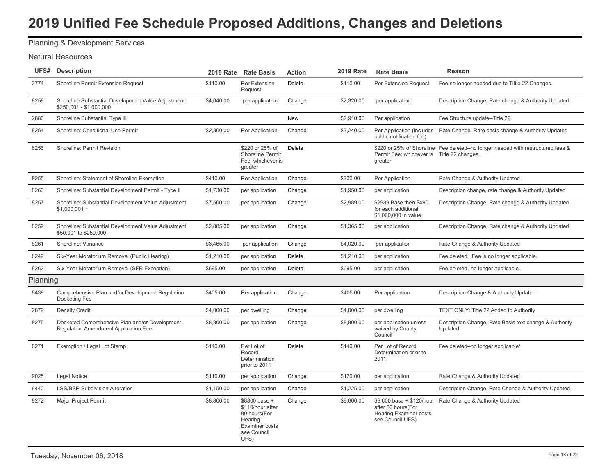# Planning & Development Services

#### Natural Resources

|          | <b>UFS#</b> Description                                                                | <b>2018 Rate</b> | <b>Rate Basis</b>                                                                                     | <b>Action</b> | <b>2019 Rate</b> | <b>Rate Basis</b>                                                       | <b>Reason</b>                                                                    |
|----------|----------------------------------------------------------------------------------------|------------------|-------------------------------------------------------------------------------------------------------|---------------|------------------|-------------------------------------------------------------------------|----------------------------------------------------------------------------------|
| 2774     | Shoreline Permit Extension Request                                                     | \$110.00         | Per Extension<br>Request                                                                              | <b>Delete</b> | \$110.00         | Per Extension Request                                                   | Fee no longer needed due to Tiltle 22 Changes.                                   |
| 8258     | Shoreline Substantial Development Value Adjustment<br>\$250,001 - \$1,000,000          | \$4,040.00       | per application                                                                                       | Change        | \$2,320.00       | per application                                                         | Description Change, Rate change & Authority Updated                              |
| 2886     | Shoreline Substantial Type III                                                         |                  |                                                                                                       | New           | \$2,910.00       | Per application                                                         | Fee Structure update--Title 22                                                   |
| 8254     | Shoreline: Conditional Use Permit                                                      | \$2,300.00       | Per Application                                                                                       | Change        | \$3,240.00       | Per Application (includes<br>public notification fee)                   | Rate Change, Rate basis change & Authority Updated                               |
| 8256     | Shoreline: Permit Revision                                                             |                  | \$220 or 25% of<br>Shoreline Permit<br>Fee: whichever is<br>greater                                   | Delete        |                  | Permit Fee; whichever is Title 22 changes.<br>greater                   | \$220 or 25% of Shoreline Fee deleted--no longer needed with restructured fees & |
| 8255     | Shoreline: Statement of Shoreline Exemption                                            | \$410.00         | Per Application                                                                                       | Change        | \$300.00         | Per Application                                                         | Rate Change & Authority Updated                                                  |
| 8260     | Shoreline: Substantial Development Permit - Type II                                    | \$1,730.00       | per application                                                                                       | Change        | \$1,950.00       | per application                                                         | Description change, rate change & Authority Updated                              |
| 8257     | Shoreline: Substantial Development Value Adjustment<br>$$1,000,001 +$                  | \$7,500.00       | per application                                                                                       | Change        | \$2,989.00       | \$2989 Base then \$490<br>for each additional<br>\$1,000,000 in value   | Description Change, Rate change & Authority Updated                              |
| 8259     | Shoreline: Substantial Development Value Adjustment<br>\$50,001 to \$250,000           | \$2,885.00       | per application                                                                                       | Change        | \$1,365.00       | per application                                                         | Description Change, Rate change & Authority Updated                              |
| 8261     | Shoreline: Variance                                                                    | \$3,465.00       | per application                                                                                       | Change        | \$4,020.00       | per application                                                         | Rate Change & Authority Updated                                                  |
| 8249     | Six-Year Moratorium Removal (Public Hearing)                                           | \$1,210.00       | per application                                                                                       | Delete        | \$1,210.00       | per application                                                         | Fee deleted. Fee is no longer applicable.                                        |
| 8262     | Six-Year Moratorium Removal (SFR Exception)                                            | \$695.00         | per application                                                                                       | Delete        | \$695.00         | per application                                                         | Fee deleted--no longer applicable.                                               |
| Planning |                                                                                        |                  |                                                                                                       |               |                  |                                                                         |                                                                                  |
| 8438     | Comprehensive Plan and/or Development Regulation<br>Docketing Fee                      | \$405.00         | Per application                                                                                       | Change        | \$405.00         | Per application                                                         | Description Change & Authority Updated                                           |
| 2879     | <b>Density Credit</b>                                                                  | \$4,000.00       | per dwelling                                                                                          | Change        | \$4,000.00       | per dwelling                                                            | TEXT ONLY: Title 22 Added to Authority                                           |
| 8275     | Docketed Comprehensive Plan and/or Development<br>Regulation Amendment Application Fee | \$8,800.00       | per application                                                                                       | Change        | \$8,800.00       | per application unless<br>waived by County<br>Council                   | Description Change, Rate Basis text change & Authority<br>Updated                |
| 8271     | Exemption / Legal Lot Stamp                                                            | \$140.00         | Per Lot of<br>Record<br>Determination<br>prior to 2011                                                | Delete        | \$140.00         | Per Lot of Record<br>Determination prior to<br>2011                     | Fee deleted--no longer applicable/                                               |
| 9025     | <b>Legal Notice</b>                                                                    | \$110.00         | per application                                                                                       | Change        | \$120.00         | per application                                                         | Rate Change & Authority Updated                                                  |
| 8440     | <b>LSS/BSP Subdivision Alteration</b>                                                  | \$1,150.00       | per application                                                                                       | Change        | \$1,225.00       | per application                                                         | Description Change, Rate Change & Authority Updated                              |
| 8272     | <b>Major Project Permit</b>                                                            | \$8,800.00       | \$8800 base +<br>\$110/hour after<br>80 hours(For<br>Hearing<br>Examiner costs<br>see Council<br>UFS) | Change        | \$9,600.00       | after 80 hours(For<br><b>Hearing Examiner costs</b><br>see Council UFS) | \$9,600 base + \$120/hour Rate Change & Authority Updated                        |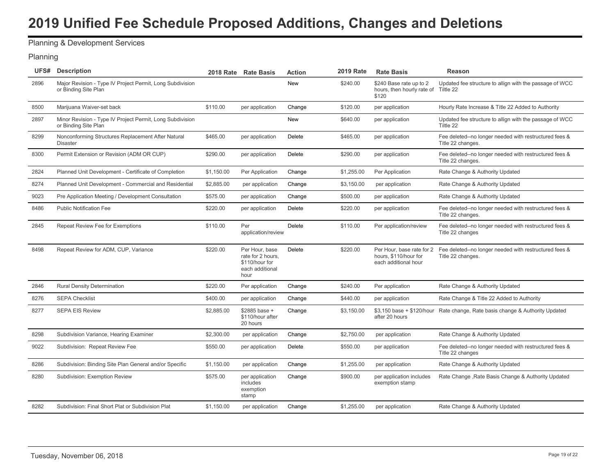### Planning & Development Services

#### Planning

|      | <b>UFS#</b> Description                                                           | <b>2018 Rate</b> | <b>Rate Basis</b>                                                                | <b>Action</b> | <b>2019 Rate</b> | <b>Rate Basis</b>                                                          | Reason                                                                      |
|------|-----------------------------------------------------------------------------------|------------------|----------------------------------------------------------------------------------|---------------|------------------|----------------------------------------------------------------------------|-----------------------------------------------------------------------------|
| 2896 | Major Revision - Type IV Project Permit, Long Subdivision<br>or Binding Site Plan |                  |                                                                                  | <b>New</b>    | \$240.00         | \$240 Base rate up to 2<br>hours, then hourly rate of Tiltle 22<br>\$120   | Updated fee structure to allign with the passage of WCC                     |
| 8500 | Marijuana Waiver-set back                                                         | \$110.00         | per application                                                                  | Change        | \$120.00         | per application                                                            | Hourly Rate Increase & Title 22 Added to Authority                          |
| 2897 | Minor Revision - Type IV Project Permit, Long Subdivision<br>or Binding Site Plan |                  |                                                                                  | New           | \$640.00         | per application                                                            | Updated fee structure to allign with the passage of WCC<br>Tiltle 22        |
| 8299 | Nonconforming Structures Replacement After Natural<br><b>Disaster</b>             | \$465.00         | per application                                                                  | <b>Delete</b> | \$465.00         | per application                                                            | Fee deleted--no longer needed with restructured fees &<br>Title 22 changes. |
| 8300 | Permit Extension or Revision (ADM OR CUP)                                         | \$290.00         | per application                                                                  | Delete        | \$290.00         | per application                                                            | Fee deleted--no longer needed with restructured fees &<br>Title 22 changes. |
| 2824 | Planned Unit Development - Certificate of Completion                              | \$1,150.00       | Per Application                                                                  | Change        | \$1,255.00       | Per Application                                                            | Rate Change & Authority Updated                                             |
| 8274 | Planned Unit Development - Commercial and Residential                             | \$2,885.00       | per application                                                                  | Change        | \$3,150.00       | per application                                                            | Rate Change & Authority Updated                                             |
| 9023 | Pre Application Meeting / Development Consultation                                | \$575.00         | per application                                                                  | Change        | \$500.00         | per application                                                            | Rate Change & Authority Updated                                             |
| 8486 | <b>Public Notification Fee</b>                                                    | \$220.00         | per application                                                                  | Delete        | \$220.00         | per application                                                            | Fee deleted--no longer needed with restructured fees &<br>Title 22 changes. |
| 2845 | Repeat Review Fee for Exemptions                                                  | \$110.00         | Per<br>application/review                                                        | Delete        | \$110.00         | Per application/review                                                     | Fee deleted--no longer needed with restructured fees &<br>Title 22 changes  |
| 8498 | Repeat Review for ADM, CUP, Variance                                              | \$220.00         | Per Hour, base<br>rate for 2 hours.<br>\$110/hour for<br>each additional<br>hour | Delete        | \$220.00         | Per Hour, base rate for 2<br>hours. \$110/hour for<br>each additional hour | Fee deleted--no longer needed with restructured fees &<br>Title 22 changes. |
| 2846 | <b>Rural Density Determination</b>                                                | \$220.00         | Per application                                                                  | Change        | \$240.00         | Per application                                                            | Rate Change & Authority Updated                                             |
| 8276 | <b>SEPA Checklist</b>                                                             | \$400.00         | per application                                                                  | Change        | \$440.00         | per application                                                            | Rate Change & Title 22 Added to Authority                                   |
| 8277 | <b>SEPA EIS Review</b>                                                            | \$2,885.00       | \$2885 base +<br>\$110/hour after<br>20 hours                                    | Change        | \$3,150.00       | \$3,150 base + \$120/hour<br>after 20 hours                                | Rate change, Rate basis change & Authority Updated                          |
| 8298 | Subdivision Variance, Hearing Examiner                                            | \$2,300.00       | per application                                                                  | Change        | \$2,750.00       | per application                                                            | Rate Change & Authority Updated                                             |
| 9022 | Subdivision: Repeat Review Fee                                                    | \$550.00         | per application                                                                  | Delete        | \$550.00         | per application                                                            | Fee deleted--no longer needed with restructured fees &<br>Title 22 changes  |
| 8286 | Subdivision: Binding Site Plan General and/or Specific                            | \$1,150.00       | per application                                                                  | Change        | \$1,255.00       | per application                                                            | Rate Change & Authority Updated                                             |
| 8280 | Subdivision: Exemption Review                                                     | \$575.00         | per application<br>includes<br>exemption<br>stamp                                | Change        | \$900.00         | per application includes<br>exemption stamp                                | Rate Change , Rate Basis Change & Authority Updated                         |
| 8282 | Subdivision: Final Short Plat or Subdivision Plat                                 | \$1,150.00       | per application                                                                  | Change        | \$1,255.00       | per application                                                            | Rate Change & Authority Updated                                             |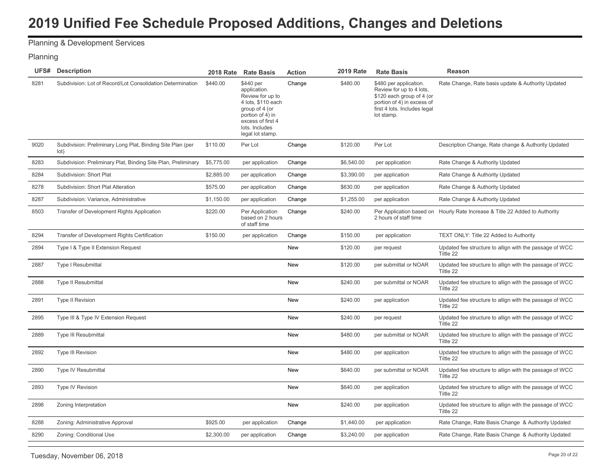# Planning & Development Services

#### Planning

| UFS# | <b>Description</b>                                                 | <b>2018 Rate</b> | <b>Rate Basis</b>                                                                                                                                                    | <b>Action</b> | <b>2019 Rate</b> | <b>Rate Basis</b>                                                                                                                                           | <b>Reason</b>                                                        |
|------|--------------------------------------------------------------------|------------------|----------------------------------------------------------------------------------------------------------------------------------------------------------------------|---------------|------------------|-------------------------------------------------------------------------------------------------------------------------------------------------------------|----------------------------------------------------------------------|
| 8281 | Subdivision: Lot of Record/Lot Consolidation Determination         | \$440.00         | \$440 per<br>application.<br>Review for up to<br>4 lots, \$110 each<br>group of 4 (or<br>portion of 4) in<br>excess of first 4<br>lots. Includes<br>legal lot stamp. | Change        | \$480.00         | \$480 per application.<br>Review for up to 4 lots,<br>\$120 each group of 4 (or<br>portion of 4) in excess of<br>first 4 lots. Includes legal<br>lot stamp. | Rate Change, Rate basis update & Authority Updated                   |
| 9020 | Subdivision: Preliminary Long Plat, Binding Site Plan (per<br>lot) | \$110.00         | Per Lot                                                                                                                                                              | Change        | \$120.00         | Per Lot                                                                                                                                                     | Description Change, Rate change & Authority Updated                  |
| 8283 | Subdivision: Preliminary Plat, Binding Site Plan, Preliminary      | \$5,775.00       | per application                                                                                                                                                      | Change        | \$6,540.00       | per application                                                                                                                                             | Rate Change & Authority Updated                                      |
| 8284 | Subdivision: Short Plat                                            | \$2,885.00       | per application                                                                                                                                                      | Change        | \$3,390.00       | per application                                                                                                                                             | Rate Change & Authority Updated                                      |
| 8278 | Subdivision: Short Plat Alteration                                 | \$575.00         | per application                                                                                                                                                      | Change        | \$630.00         | per application                                                                                                                                             | Rate Change & Authority Updated                                      |
| 8287 | Subdivision: Variance, Administrative                              | \$1,150.00       | per application                                                                                                                                                      | Change        | \$1,255.00       | per application                                                                                                                                             | Rate Change & Authority Updated                                      |
| 8503 | Transfer of Development Rights Application                         | \$220.00         | Per Application<br>based on 2 hours<br>of staff time                                                                                                                 | Change        | \$240.00         | Per Application based on<br>2 hours of staff time                                                                                                           | Hourly Rate Increase & Title 22 Added to Authority                   |
| 8294 | Transfer of Development Rights Certification                       | \$150.00         | per application                                                                                                                                                      | Change        | \$150.00         | per application                                                                                                                                             | TEXT ONLY: Title 22 Added to Authority                               |
| 2894 | Type I & Type II Extension Request                                 |                  |                                                                                                                                                                      | New           | \$120.00         | per request                                                                                                                                                 | Updated fee structure to allign with the passage of WCC<br>Tiltle 22 |
| 2887 | <b>Type I Resubmittal</b>                                          |                  |                                                                                                                                                                      | <b>New</b>    | \$120.00         | per submittal or NOAR                                                                                                                                       | Updated fee structure to allign with the passage of WCC<br>Tiltle 22 |
| 2888 | <b>Type II Resubmittal</b>                                         |                  |                                                                                                                                                                      | <b>New</b>    | \$240.00         | per submittal or NOAR                                                                                                                                       | Updated fee structure to allign with the passage of WCC<br>Tiltle 22 |
| 2891 | <b>Type II Revision</b>                                            |                  |                                                                                                                                                                      | New           | \$240.00         | per application                                                                                                                                             | Updated fee structure to allign with the passage of WCC<br>Tiltle 22 |
| 2895 | Type III & Type IV Extension Request                               |                  |                                                                                                                                                                      | New           | \$240.00         | per request                                                                                                                                                 | Updated fee structure to allign with the passage of WCC<br>Tiltle 22 |
| 2889 | <b>Type III Resubmittal</b>                                        |                  |                                                                                                                                                                      | New           | \$480.00         | per submittal or NOAR                                                                                                                                       | Updated fee structure to allign with the passage of WCC<br>Tiltle 22 |
| 2892 | <b>Type III Revision</b>                                           |                  |                                                                                                                                                                      | <b>New</b>    | \$480.00         | per application                                                                                                                                             | Updated fee structure to allign with the passage of WCC<br>Tiltle 22 |
| 2890 | Type IV Resubmittal                                                |                  |                                                                                                                                                                      | New           | \$640.00         | per submittal or NOAR                                                                                                                                       | Updated fee structure to allign with the passage of WCC<br>Tiltle 22 |
| 2893 | Type IV Revision                                                   |                  |                                                                                                                                                                      | New           | \$640.00         | per application                                                                                                                                             | Updated fee structure to allign with the passage of WCC<br>Tiltle 22 |
| 2898 | Zoning Interpretation                                              |                  |                                                                                                                                                                      | New           | \$240.00         | per application                                                                                                                                             | Updated fee structure to allign with the passage of WCC<br>Tiltle 22 |
| 8288 | Zoning: Administrative Approval                                    | \$925.00         | per application                                                                                                                                                      | Change        | \$1,440.00       | per application                                                                                                                                             | Rate Change, Rate Basis Change & Authority Updated                   |
| 8290 | Zoning: Conditional Use                                            | \$2,300.00       | per application                                                                                                                                                      | Change        | \$3,240.00       | per application                                                                                                                                             | Rate Change, Rate Basis Change & Authority Updated                   |
|      |                                                                    |                  |                                                                                                                                                                      |               |                  |                                                                                                                                                             |                                                                      |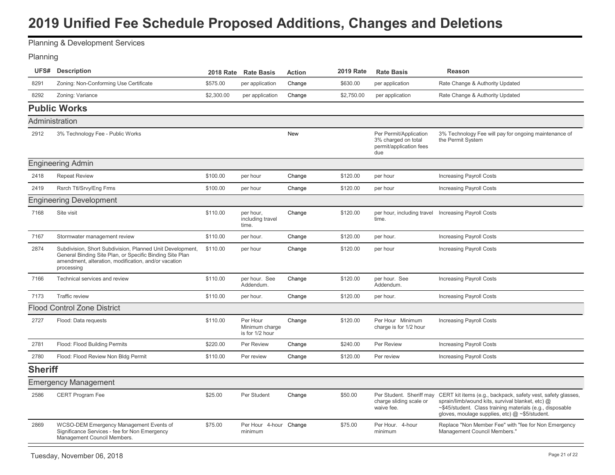<span id="page-21-0"></span>Planning & Development Services

#### Planning

|                | <b>UFS#</b> Description                                                                                                                                                                     |            | 2018 Rate Rate Basis                          | <b>Action</b> | 2019 Rate  | <b>Rate Basis</b>                                                               | Reason                                                                                                                                                                                                                          |
|----------------|---------------------------------------------------------------------------------------------------------------------------------------------------------------------------------------------|------------|-----------------------------------------------|---------------|------------|---------------------------------------------------------------------------------|---------------------------------------------------------------------------------------------------------------------------------------------------------------------------------------------------------------------------------|
| 8291           | Zoning: Non-Conforming Use Certificate                                                                                                                                                      | \$575.00   | per application                               | Change        | \$630.00   | per application                                                                 | Rate Change & Authority Updated                                                                                                                                                                                                 |
| 8292           | Zoning: Variance                                                                                                                                                                            | \$2,300.00 | per application                               | Change        | \$2,750.00 | per application                                                                 | Rate Change & Authority Updated                                                                                                                                                                                                 |
|                | <b>Public Works</b>                                                                                                                                                                         |            |                                               |               |            |                                                                                 |                                                                                                                                                                                                                                 |
| Administration |                                                                                                                                                                                             |            |                                               |               |            |                                                                                 |                                                                                                                                                                                                                                 |
| 2912           | 3% Technology Fee - Public Works                                                                                                                                                            |            |                                               | <b>New</b>    |            | Per Permit/Application<br>3% charged on total<br>permit/application fees<br>due | 3% Technology Fee will pay for ongoing maintenance of<br>the Permit System                                                                                                                                                      |
|                | <b>Engineering Admin</b>                                                                                                                                                                    |            |                                               |               |            |                                                                                 |                                                                                                                                                                                                                                 |
| 2418           | <b>Repeat Review</b>                                                                                                                                                                        | \$100.00   | per hour                                      | Change        | \$120.00   | per hour                                                                        | <b>Increasing Payroll Costs</b>                                                                                                                                                                                                 |
| 2419           | Rsrch Ttl/Srvy/Eng Frms                                                                                                                                                                     | \$100.00   | per hour                                      | Change        | \$120.00   | per hour                                                                        | <b>Increasing Payroll Costs</b>                                                                                                                                                                                                 |
|                | <b>Engineering Development</b>                                                                                                                                                              |            |                                               |               |            |                                                                                 |                                                                                                                                                                                                                                 |
| 7168           | Site visit                                                                                                                                                                                  | \$110.00   | per hour,<br>including travel<br>time.        | Change        | \$120.00   | per hour, including travel Increasing Payroll Costs<br>time.                    |                                                                                                                                                                                                                                 |
| 7167           | Stormwater management review                                                                                                                                                                | \$110.00   | per hour.                                     | Change        | \$120.00   | per hour.                                                                       | <b>Increasing Payroll Costs</b>                                                                                                                                                                                                 |
| 2874           | Subdivision, Short Subdivision, Planned Unit Development,<br>General Binding Site Plan, or Specific Binding Site Plan<br>amendment, alteration, modification, and/or vacation<br>processing | \$110.00   | per hour                                      | Change        | \$120.00   | per hour                                                                        | <b>Increasing Payroll Costs</b>                                                                                                                                                                                                 |
| 7166           | Technical services and review                                                                                                                                                               | \$110.00   | per hour. See<br>Addendum.                    | Change        | \$120.00   | per hour. See<br>Addendum.                                                      | <b>Increasing Payroll Costs</b>                                                                                                                                                                                                 |
| 7173           | <b>Traffic review</b>                                                                                                                                                                       | \$110.00   | per hour.                                     | Change        | \$120.00   | per hour.                                                                       | <b>Increasing Payroll Costs</b>                                                                                                                                                                                                 |
|                | <b>Flood Control Zone District</b>                                                                                                                                                          |            |                                               |               |            |                                                                                 |                                                                                                                                                                                                                                 |
| 2727           | Flood: Data requests                                                                                                                                                                        | \$110.00   | Per Hour<br>Minimum charge<br>is for 1/2 hour | Change        | \$120.00   | Per Hour Minimum<br>charge is for 1/2 hour                                      | <b>Increasing Payroll Costs</b>                                                                                                                                                                                                 |
| 2781           | Flood: Flood Building Permits                                                                                                                                                               | \$220.00   | Per Review                                    | Change        | \$240.00   | Per Review                                                                      | <b>Increasing Payroll Costs</b>                                                                                                                                                                                                 |
| 2780           | Flood: Flood Review Non Bldg Permit                                                                                                                                                         | \$110.00   | Per review                                    | Change        | \$120.00   | Per review                                                                      | <b>Increasing Payroll Costs</b>                                                                                                                                                                                                 |
| <b>Sheriff</b> |                                                                                                                                                                                             |            |                                               |               |            |                                                                                 |                                                                                                                                                                                                                                 |
|                | <b>Emergency Management</b>                                                                                                                                                                 |            |                                               |               |            |                                                                                 |                                                                                                                                                                                                                                 |
| 2586           | <b>CERT Program Fee</b>                                                                                                                                                                     | \$25.00    | Per Student                                   | Change        | \$50.00    | Per Student. Sheriff may<br>charge sliding scale or<br>waive fee.               | CERT kit items (e.g., backpack, safety vest, safety glasses,<br>sprain/limb/wound kits, survival blanket, etc) @<br>~\$45/student. Class training materials (e.g., disposable<br>gloves, moulage supplies, etc) @ ~\$5/student. |
| 2869           | WCSO-DEM Emergency Management Events of<br>Significance Services - fee for Non Emergency<br>Management Council Members.                                                                     | \$75.00    | Per Hour 4-hour Change<br>minimum             |               | \$75.00    | Per Hour. 4-hour<br>minimum                                                     | Replace "Non Member Fee" with "fee for Non Emergency<br>Management Council Members."                                                                                                                                            |